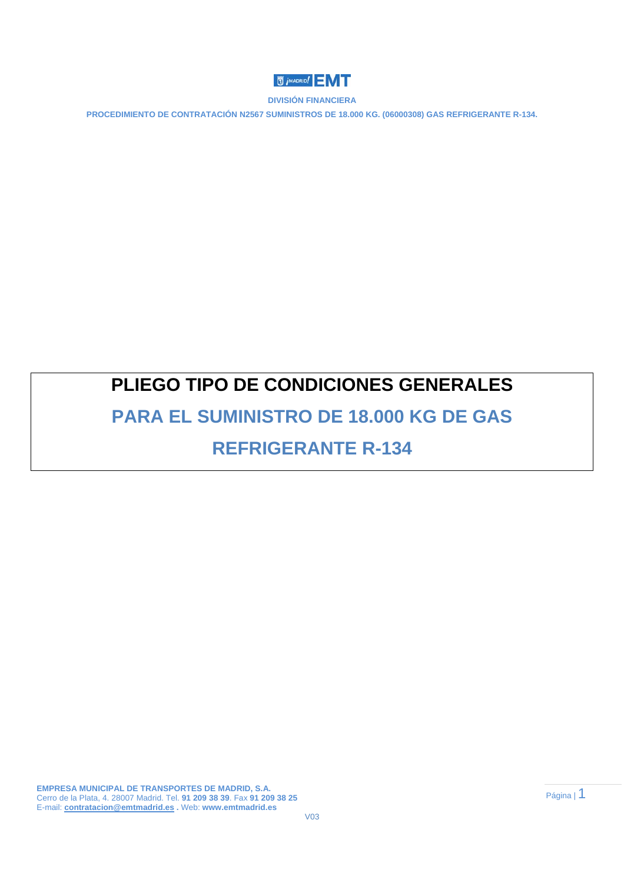

**PROCEDIMIENTO DE CONTRATACIÓN N2567 SUMINISTROS DE 18.000 KG. (06000308) GAS REFRIGERANTE R-134.** 

# **PLIEGO TIPO DE CONDICIONES GENERALES**

# **PARA EL SUMINISTRO DE 18.000 KG DE GAS REFRIGERANTE R-134**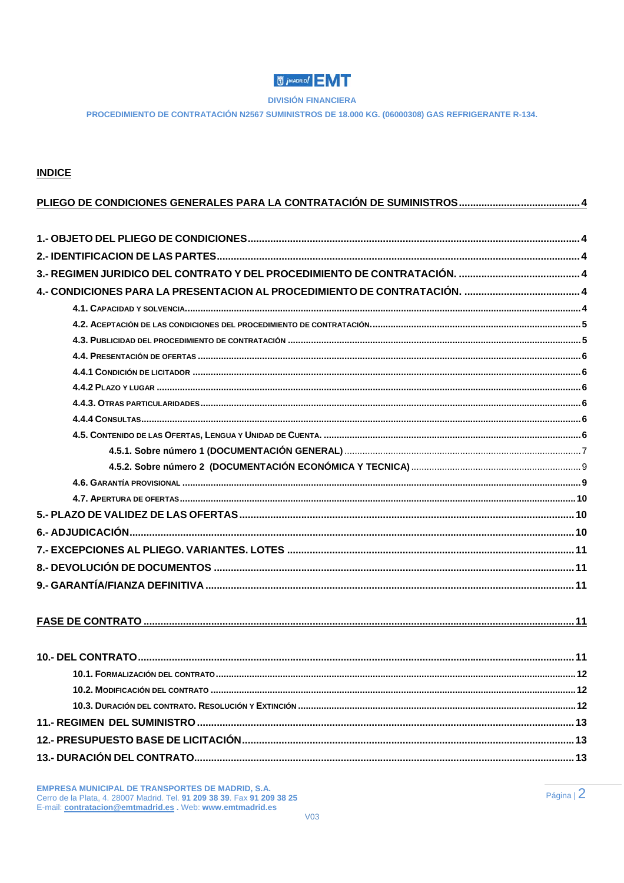# **U** *i*<sup>MADRID</sub></sup>

**DIVISIÓN FINANCIERA** 

PROCEDIMIENTO DE CONTRATACIÓN N2567 SUMINISTROS DE 18.000 KG. (06000308) GAS REFRIGERANTE R-134.

# **INDICE**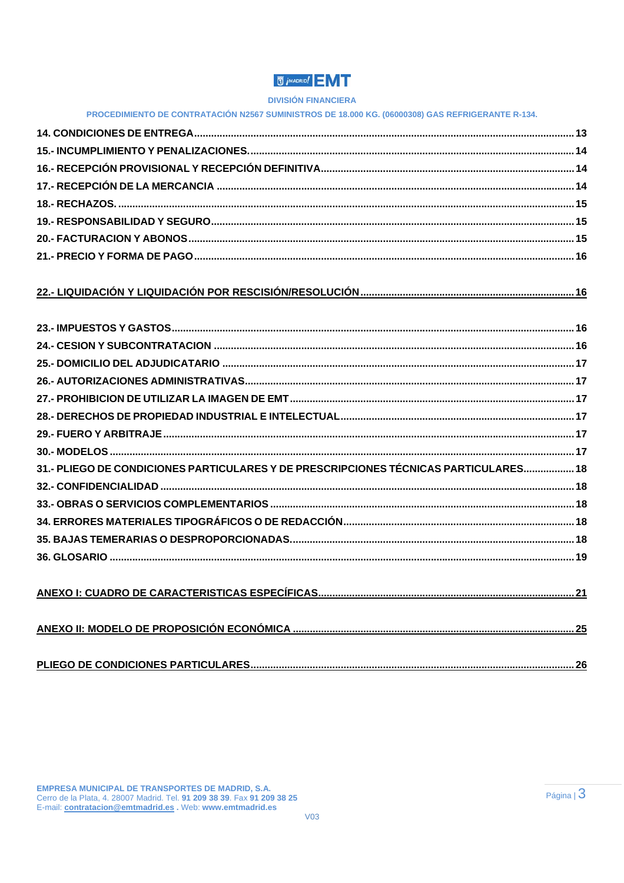# **U** *i* MADRID!

## **DIVISIÓN FINANCIERA**

|  |  | <b>PROCEDIMIENTO DE CONTRATACIÓN N2567 SUMINISTROS DE 18.000 KG. (06000308) GAS REFRIGERANTE R-134.</b> |
|--|--|---------------------------------------------------------------------------------------------------------|

# 

| 31.- PLIEGO DE CONDICIONES PARTICULARES Y DE PRESCRIPCIONES TÉCNICAS PARTICULARES 18 |  |
|--------------------------------------------------------------------------------------|--|
|                                                                                      |  |
|                                                                                      |  |
|                                                                                      |  |
|                                                                                      |  |
|                                                                                      |  |
|                                                                                      |  |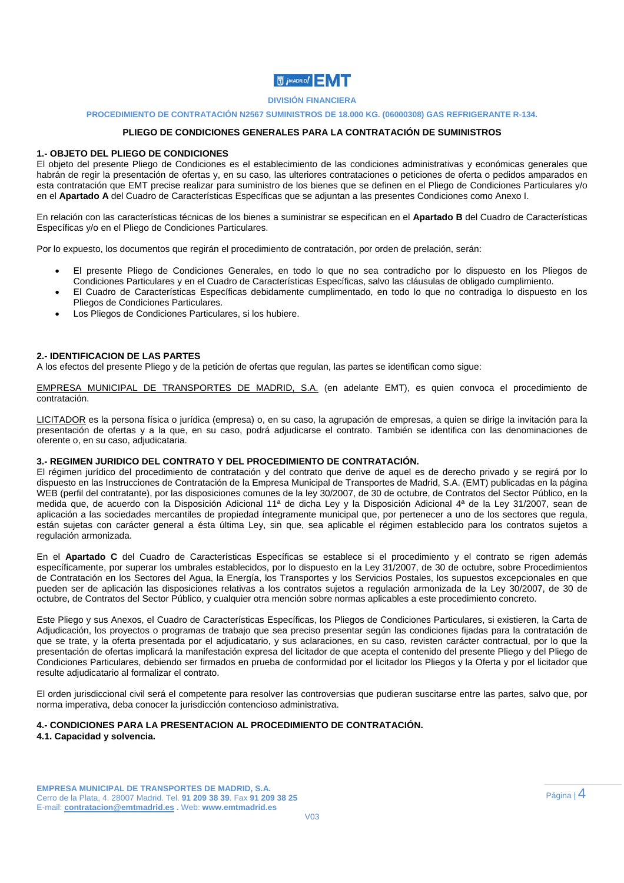

#### **PROCEDIMIENTO DE CONTRATACIÓN N2567 SUMINISTROS DE 18.000 KG. (06000308) GAS REFRIGERANTE R-134.**

## **PLIEGO DE CONDICIONES GENERALES PARA LA CONTRATACIÓN DE SUMINISTROS**

### **1.- OBJETO DEL PLIEGO DE CONDICIONES**

El objeto del presente Pliego de Condiciones es el establecimiento de las condiciones administrativas y económicas generales que habrán de regir la presentación de ofertas y, en su caso, las ulteriores contrataciones o peticiones de oferta o pedidos amparados en esta contratación que EMT precise realizar para suministro de los bienes que se definen en el Pliego de Condiciones Particulares y/o en el **Apartado A** del Cuadro de Características Específicas que se adjuntan a las presentes Condiciones como Anexo I.

En relación con las características técnicas de los bienes a suministrar se especifican en el **Apartado B** del Cuadro de Características Específicas y/o en el Pliego de Condiciones Particulares.

Por lo expuesto, los documentos que regirán el procedimiento de contratación, por orden de prelación, serán:

- El presente Pliego de Condiciones Generales, en todo lo que no sea contradicho por lo dispuesto en los Pliegos de Condiciones Particulares y en el Cuadro de Características Específicas, salvo las cláusulas de obligado cumplimiento.
- El Cuadro de Características Específicas debidamente cumplimentado, en todo lo que no contradiga lo dispuesto en los Pliegos de Condiciones Particulares.
- Los Pliegos de Condiciones Particulares, si los hubiere.

### **2.- IDENTIFICACION DE LAS PARTES**

A los efectos del presente Pliego y de la petición de ofertas que regulan, las partes se identifican como sigue:

EMPRESA MUNICIPAL DE TRANSPORTES DE MADRID, S.A. (en adelante EMT), es quien convoca el procedimiento de contratación.

LICITADOR es la persona física o jurídica (empresa) o, en su caso, la agrupación de empresas, a quien se dirige la invitación para la presentación de ofertas y a la que, en su caso, podrá adjudicarse el contrato. También se identifica con las denominaciones de oferente o, en su caso, adjudicataria.

#### **3.- REGIMEN JURIDICO DEL CONTRATO Y DEL PROCEDIMIENTO DE CONTRATACIÓN.**

El régimen jurídico del procedimiento de contratación y del contrato que derive de aquel es de derecho privado y se regirá por lo dispuesto en las Instrucciones de Contratación de la Empresa Municipal de Transportes de Madrid, S.A. (EMT) publicadas en la página WEB (perfil del contratante), por las disposiciones comunes de la ley 30/2007, de 30 de octubre, de Contratos del Sector Público, en la medida que, de acuerdo con la Disposición Adicional 11ª de dicha Ley y la Disposición Adicional 4ª de la Ley 31/2007, sean de aplicación a las sociedades mercantiles de propiedad íntegramente municipal que, por pertenecer a uno de los sectores que regula, están sujetas con carácter general a ésta última Ley, sin que, sea aplicable el régimen establecido para los contratos sujetos a regulación armonizada.

En el **Apartado C** del Cuadro de Características Específicas se establece si el procedimiento y el contrato se rigen además específicamente, por superar los umbrales establecidos, por lo dispuesto en la Ley 31/2007, de 30 de octubre, sobre Procedimientos de Contratación en los Sectores del Agua, la Energía, los Transportes y los Servicios Postales, los supuestos excepcionales en que pueden ser de aplicación las disposiciones relativas a los contratos sujetos a regulación armonizada de la Ley 30/2007, de 30 de octubre, de Contratos del Sector Público, y cualquier otra mención sobre normas aplicables a este procedimiento concreto.

Este Pliego y sus Anexos, el Cuadro de Características Específicas, los Pliegos de Condiciones Particulares, si existieren, la Carta de Adjudicación, los proyectos o programas de trabajo que sea preciso presentar según las condiciones fijadas para la contratación de que se trate, y la oferta presentada por el adjudicatario, y sus aclaraciones, en su caso, revisten carácter contractual, por lo que la presentación de ofertas implicará la manifestación expresa del licitador de que acepta el contenido del presente Pliego y del Pliego de Condiciones Particulares, debiendo ser firmados en prueba de conformidad por el licitador los Pliegos y la Oferta y por el licitador que resulte adjudicatario al formalizar el contrato.

El orden jurisdiccional civil será el competente para resolver las controversias que pudieran suscitarse entre las partes, salvo que, por norma imperativa, deba conocer la jurisdicción contencioso administrativa.

#### **4.- CONDICIONES PARA LA PRESENTACION AL PROCEDIMIENTO DE CONTRATACIÓN. 4.1. Capacidad y solvencia.**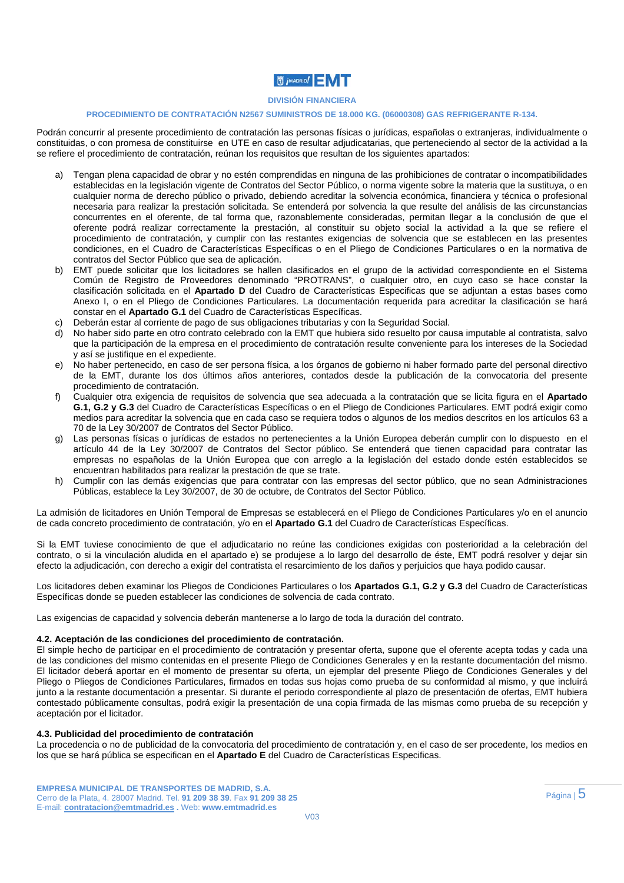### **DIVISIÓN FINANCIERA**

### **PROCEDIMIENTO DE CONTRATACIÓN N2567 SUMINISTROS DE 18.000 KG. (06000308) GAS REFRIGERANTE R-134.**

Podrán concurrir al presente procedimiento de contratación las personas físicas o jurídicas, españolas o extranjeras, individualmente o constituidas, o con promesa de constituirse en UTE en caso de resultar adjudicatarias, que perteneciendo al sector de la actividad a la se refiere el procedimiento de contratación, reúnan los requisitos que resultan de los siguientes apartados:

- a) Tengan plena capacidad de obrar y no estén comprendidas en ninguna de las prohibiciones de contratar o incompatibilidades establecidas en la legislación vigente de Contratos del Sector Público, o norma vigente sobre la materia que la sustituya, o en cualquier norma de derecho público o privado, debiendo acreditar la solvencia económica, financiera y técnica o profesional necesaria para realizar la prestación solicitada. Se entenderá por solvencia la que resulte del análisis de las circunstancias concurrentes en el oferente, de tal forma que, razonablemente consideradas, permitan llegar a la conclusión de que el oferente podrá realizar correctamente la prestación, al constituir su objeto social la actividad a la que se refiere el procedimiento de contratación, y cumplir con las restantes exigencias de solvencia que se establecen en las presentes condiciones, en el Cuadro de Características Específicas o en el Pliego de Condiciones Particulares o en la normativa de contratos del Sector Público que sea de aplicación.
- b) EMT puede solicitar que los licitadores se hallen clasificados en el grupo de la actividad correspondiente en el Sistema Común de Registro de Proveedores denominado "PROTRANS", o cualquier otro, en cuyo caso se hace constar la clasificación solicitada en el **Apartado D** del Cuadro de Características Especificas que se adjuntan a estas bases como Anexo I, o en el Pliego de Condiciones Particulares. La documentación requerida para acreditar la clasificación se hará constar en el **Apartado G.1** del Cuadro de Características Específicas.
- c) Deberán estar al corriente de pago de sus obligaciones tributarias y con la Seguridad Social.
- d) No haber sido parte en otro contrato celebrado con la EMT que hubiera sido resuelto por causa imputable al contratista, salvo que la participación de la empresa en el procedimiento de contratación resulte conveniente para los intereses de la Sociedad y así se justifique en el expediente.
- e) No haber pertenecido, en caso de ser persona física, a los órganos de gobierno ni haber formado parte del personal directivo de la EMT, durante los dos últimos años anteriores, contados desde la publicación de la convocatoria del presente procedimiento de contratación.
- f) Cualquier otra exigencia de requisitos de solvencia que sea adecuada a la contratación que se licita figura en el **Apartado G.1, G.2 y G.3** del Cuadro de Características Específicas o en el Pliego de Condiciones Particulares. EMT podrá exigir como medios para acreditar la solvencia que en cada caso se requiera todos o algunos de los medios descritos en los artículos 63 a 70 de la Ley 30/2007 de Contratos del Sector Público.
- g) Las personas físicas o jurídicas de estados no pertenecientes a la Unión Europea deberán cumplir con lo dispuesto en el artículo 44 de la Ley 30/2007 de Contratos del Sector público. Se entenderá que tienen capacidad para contratar las empresas no españolas de la Unión Europea que con arreglo a la legislación del estado donde estén establecidos se encuentran habilitados para realizar la prestación de que se trate.
- h) Cumplir con las demás exigencias que para contratar con las empresas del sector público, que no sean Administraciones Públicas, establece la Ley 30/2007, de 30 de octubre, de Contratos del Sector Público.

La admisión de licitadores en Unión Temporal de Empresas se establecerá en el Pliego de Condiciones Particulares y/o en el anuncio de cada concreto procedimiento de contratación, y/o en el **Apartado G.1** del Cuadro de Características Específicas.

Si la EMT tuviese conocimiento de que el adjudicatario no reúne las condiciones exigidas con posterioridad a la celebración del contrato, o si la vinculación aludida en el apartado e) se produjese a lo largo del desarrollo de éste, EMT podrá resolver y dejar sin efecto la adjudicación, con derecho a exigir del contratista el resarcimiento de los daños y perjuicios que haya podido causar.

Los licitadores deben examinar los Pliegos de Condiciones Particulares o los **Apartados G.1, G.2 y G.3** del Cuadro de Características Específicas donde se pueden establecer las condiciones de solvencia de cada contrato.

Las exigencias de capacidad y solvencia deberán mantenerse a lo largo de toda la duración del contrato.

#### **4.2. Aceptación de las condiciones del procedimiento de contratación.**

El simple hecho de participar en el procedimiento de contratación y presentar oferta, supone que el oferente acepta todas y cada una de las condiciones del mismo contenidas en el presente Pliego de Condiciones Generales y en la restante documentación del mismo. El licitador deberá aportar en el momento de presentar su oferta, un ejemplar del presente Pliego de Condiciones Generales y del Pliego o Pliegos de Condiciones Particulares, firmados en todas sus hojas como prueba de su conformidad al mismo, y que incluirá junto a la restante documentación a presentar. Si durante el periodo correspondiente al plazo de presentación de ofertas, EMT hubiera contestado públicamente consultas, podrá exigir la presentación de una copia firmada de las mismas como prueba de su recepción y aceptación por el licitador.

#### **4.3. Publicidad del procedimiento de contratación**

La procedencia o no de publicidad de la convocatoria del procedimiento de contratación y, en el caso de ser procedente, los medios en los que se hará pública se especifican en el **Apartado E** del Cuadro de Características Especificas.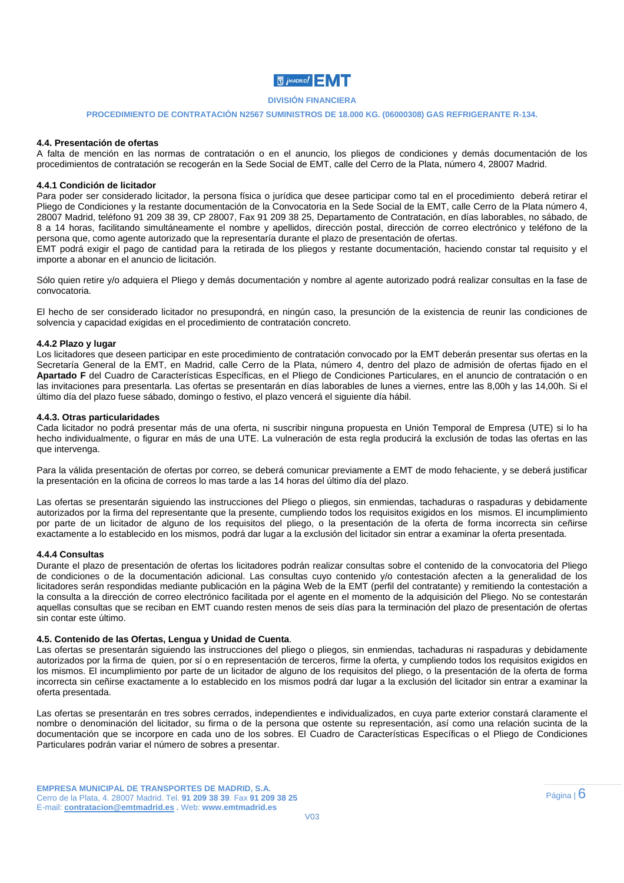## **DIVISIÓN FINANCIERA**

#### **PROCEDIMIENTO DE CONTRATACIÓN N2567 SUMINISTROS DE 18.000 KG. (06000308) GAS REFRIGERANTE R-134.**

#### **4.4. Presentación de ofertas**

A falta de mención en las normas de contratación o en el anuncio, los pliegos de condiciones y demás documentación de los procedimientos de contratación se recogerán en la Sede Social de EMT, calle del Cerro de la Plata, número 4, 28007 Madrid.

#### **4.4.1 Condición de licitador**

Para poder ser considerado licitador, la persona física o jurídica que desee participar como tal en el procedimiento deberá retirar el Pliego de Condiciones y la restante documentación de la Convocatoria en la Sede Social de la EMT, calle Cerro de la Plata número 4, 28007 Madrid, teléfono 91 209 38 39, CP 28007, Fax 91 209 38 25, Departamento de Contratación, en días laborables, no sábado, de 8 a 14 horas, facilitando simultáneamente el nombre y apellidos, dirección postal, dirección de correo electrónico y teléfono de la persona que, como agente autorizado que la representaría durante el plazo de presentación de ofertas.

EMT podrá exigir el pago de cantidad para la retirada de los pliegos y restante documentación, haciendo constar tal requisito y el importe a abonar en el anuncio de licitación.

Sólo quien retire y/o adquiera el Pliego y demás documentación y nombre al agente autorizado podrá realizar consultas en la fase de convocatoria.

El hecho de ser considerado licitador no presupondrá, en ningún caso, la presunción de la existencia de reunir las condiciones de solvencia y capacidad exigidas en el procedimiento de contratación concreto.

#### **4.4.2 Plazo y lugar**

Los licitadores que deseen participar en este procedimiento de contratación convocado por la EMT deberán presentar sus ofertas en la Secretaría General de la EMT, en Madrid, calle Cerro de la Plata, número 4, dentro del plazo de admisión de ofertas fijado en el **Apartado F** del Cuadro de Características Específicas, en el Pliego de Condiciones Particulares, en el anuncio de contratación o en las invitaciones para presentarla. Las ofertas se presentarán en días laborables de lunes a viernes, entre las 8,00h y las 14,00h. Si el último día del plazo fuese sábado, domingo o festivo, el plazo vencerá el siguiente día hábil.

#### **4.4.3. Otras particularidades**

Cada licitador no podrá presentar más de una oferta, ni suscribir ninguna propuesta en Unión Temporal de Empresa (UTE) si lo ha hecho individualmente, o figurar en más de una UTE. La vulneración de esta regla producirá la exclusión de todas las ofertas en las que intervenga.

Para la válida presentación de ofertas por correo, se deberá comunicar previamente a EMT de modo fehaciente, y se deberá justificar la presentación en la oficina de correos lo mas tarde a las 14 horas del último día del plazo.

Las ofertas se presentarán siguiendo las instrucciones del Pliego o pliegos, sin enmiendas, tachaduras o raspaduras y debidamente autorizados por la firma del representante que la presente, cumpliendo todos los requisitos exigidos en los mismos. El incumplimiento por parte de un licitador de alguno de los requisitos del pliego, o la presentación de la oferta de forma incorrecta sin ceñirse exactamente a lo establecido en los mismos, podrá dar lugar a la exclusión del licitador sin entrar a examinar la oferta presentada.

#### **4.4.4 Consultas**

Durante el plazo de presentación de ofertas los licitadores podrán realizar consultas sobre el contenido de la convocatoria del Pliego de condiciones o de la documentación adicional. Las consultas cuyo contenido y/o contestación afecten a la generalidad de los licitadores serán respondidas mediante publicación en la página Web de la EMT (perfil del contratante) y remitiendo la contestación a la consulta a la dirección de correo electrónico facilitada por el agente en el momento de la adquisición del Pliego. No se contestarán aquellas consultas que se reciban en EMT cuando resten menos de seis días para la terminación del plazo de presentación de ofertas sin contar este último.

#### **4.5. Contenido de las Ofertas, Lengua y Unidad de Cuenta**.

Las ofertas se presentarán siguiendo las instrucciones del pliego o pliegos, sin enmiendas, tachaduras ni raspaduras y debidamente autorizados por la firma de quien, por sí o en representación de terceros, firme la oferta, y cumpliendo todos los requisitos exigidos en los mismos. El incumplimiento por parte de un licitador de alguno de los requisitos del pliego, o la presentación de la oferta de forma incorrecta sin ceñirse exactamente a lo establecido en los mismos podrá dar lugar a la exclusión del licitador sin entrar a examinar la oferta presentada.

Las ofertas se presentarán en tres sobres cerrados, independientes e individualizados, en cuya parte exterior constará claramente el nombre o denominación del licitador, su firma o de la persona que ostente su representación, así como una relación sucinta de la documentación que se incorpore en cada uno de los sobres. El Cuadro de Características Específicas o el Pliego de Condiciones Particulares podrán variar el número de sobres a presentar.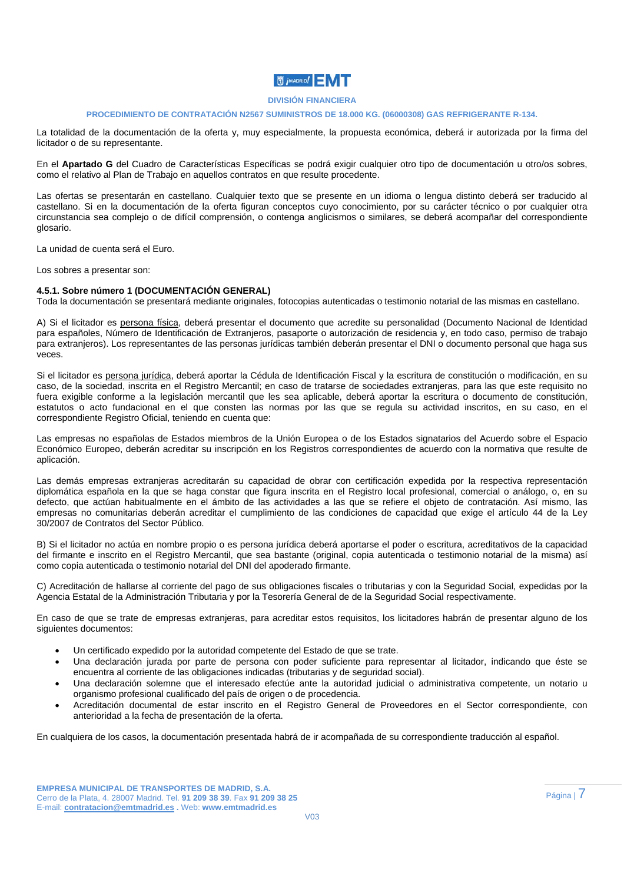#### **DIVISIÓN FINANCIERA**

#### **PROCEDIMIENTO DE CONTRATACIÓN N2567 SUMINISTROS DE 18.000 KG. (06000308) GAS REFRIGERANTE R-134.**

La totalidad de la documentación de la oferta y, muy especialmente, la propuesta económica, deberá ir autorizada por la firma del licitador o de su representante.

En el **Apartado G** del Cuadro de Características Específicas se podrá exigir cualquier otro tipo de documentación u otro/os sobres, como el relativo al Plan de Trabajo en aquellos contratos en que resulte procedente.

Las ofertas se presentarán en castellano. Cualquier texto que se presente en un idioma o lengua distinto deberá ser traducido al castellano. Si en la documentación de la oferta figuran conceptos cuyo conocimiento, por su carácter técnico o por cualquier otra circunstancia sea complejo o de difícil comprensión, o contenga anglicismos o similares, se deberá acompañar del correspondiente glosario.

La unidad de cuenta será el Euro.

Los sobres a presentar son:

#### **4.5.1. Sobre número 1 (DOCUMENTACIÓN GENERAL)**

Toda la documentación se presentará mediante originales, fotocopias autenticadas o testimonio notarial de las mismas en castellano.

A) Si el licitador es persona física, deberá presentar el documento que acredite su personalidad (Documento Nacional de Identidad para españoles, Número de Identificación de Extranjeros, pasaporte o autorización de residencia y, en todo caso, permiso de trabajo para extranjeros). Los representantes de las personas jurídicas también deberán presentar el DNI o documento personal que haga sus veces.

Si el licitador es persona jurídica, deberá aportar la Cédula de Identificación Fiscal y la escritura de constitución o modificación, en su caso, de la sociedad, inscrita en el Registro Mercantil; en caso de tratarse de sociedades extranjeras, para las que este requisito no fuera exigible conforme a la legislación mercantil que les sea aplicable, deberá aportar la escritura o documento de constitución, estatutos o acto fundacional en el que consten las normas por las que se regula su actividad inscritos, en su caso, en el correspondiente Registro Oficial, teniendo en cuenta que:

Las empresas no españolas de Estados miembros de la Unión Europea o de los Estados signatarios del Acuerdo sobre el Espacio Económico Europeo, deberán acreditar su inscripción en los Registros correspondientes de acuerdo con la normativa que resulte de aplicación.

Las demás empresas extranjeras acreditarán su capacidad de obrar con certificación expedida por la respectiva representación diplomática española en la que se haga constar que figura inscrita en el Registro local profesional, comercial o análogo, o, en su defecto, que actúan habitualmente en el ámbito de las actividades a las que se refiere el objeto de contratación. Así mismo, las empresas no comunitarias deberán acreditar el cumplimiento de las condiciones de capacidad que exige el artículo 44 de la Ley 30/2007 de Contratos del Sector Público.

B) Si el licitador no actúa en nombre propio o es persona jurídica deberá aportarse el poder o escritura, acreditativos de la capacidad del firmante e inscrito en el Registro Mercantil, que sea bastante (original, copia autenticada o testimonio notarial de la misma) así como copia autenticada o testimonio notarial del DNI del apoderado firmante.

C) Acreditación de hallarse al corriente del pago de sus obligaciones fiscales o tributarias y con la Seguridad Social, expedidas por la Agencia Estatal de la Administración Tributaria y por la Tesorería General de de la Seguridad Social respectivamente.

En caso de que se trate de empresas extranjeras, para acreditar estos requisitos, los licitadores habrán de presentar alguno de los siguientes documentos:

- Un certificado expedido por la autoridad competente del Estado de que se trate.
- Una declaración jurada por parte de persona con poder suficiente para representar al licitador, indicando que éste se encuentra al corriente de las obligaciones indicadas (tributarias y de seguridad social).
- Una declaración solemne que el interesado efectúe ante la autoridad judicial o administrativa competente, un notario u organismo profesional cualificado del país de origen o de procedencia.
- Acreditación documental de estar inscrito en el Registro General de Proveedores en el Sector correspondiente, con anterioridad a la fecha de presentación de la oferta.

En cualquiera de los casos, la documentación presentada habrá de ir acompañada de su correspondiente traducción al español.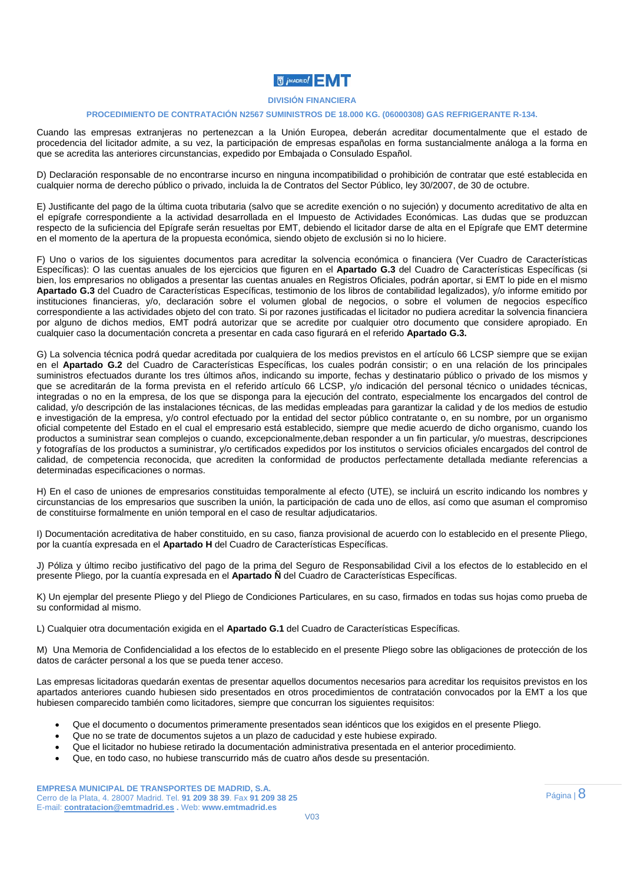### **DIVISIÓN FINANCIERA**

#### **PROCEDIMIENTO DE CONTRATACIÓN N2567 SUMINISTROS DE 18.000 KG. (06000308) GAS REFRIGERANTE R-134.**

Cuando las empresas extranjeras no pertenezcan a la Unión Europea, deberán acreditar documentalmente que el estado de procedencia del licitador admite, a su vez, la participación de empresas españolas en forma sustancialmente análoga a la forma en que se acredita las anteriores circunstancias, expedido por Embajada o Consulado Español.

D) Declaración responsable de no encontrarse incurso en ninguna incompatibilidad o prohibición de contratar que esté establecida en cualquier norma de derecho público o privado, incluida la de Contratos del Sector Público, ley 30/2007, de 30 de octubre.

E) Justificante del pago de la última cuota tributaria (salvo que se acredite exención o no sujeción) y documento acreditativo de alta en el epígrafe correspondiente a la actividad desarrollada en el Impuesto de Actividades Económicas. Las dudas que se produzcan respecto de la suficiencia del Epígrafe serán resueltas por EMT, debiendo el licitador darse de alta en el Epígrafe que EMT determine en el momento de la apertura de la propuesta económica, siendo objeto de exclusión si no lo hiciere.

F) Uno o varios de los siguientes documentos para acreditar la solvencia económica o financiera (Ver Cuadro de Características Específicas): O las cuentas anuales de los ejercicios que figuren en el **Apartado G.3** del Cuadro de Características Específicas (si bien, los empresarios no obligados a presentar las cuentas anuales en Registros Oficiales, podrán aportar, si EMT lo pide en el mismo **Apartado G.3** del Cuadro de Características Específicas, testimonio de los libros de contabilidad legalizados), y/o informe emitido por instituciones financieras, y/o, declaración sobre el volumen global de negocios, o sobre el volumen de negocios específico correspondiente a las actividades objeto del con trato. Si por razones justificadas el licitador no pudiera acreditar la solvencia financiera por alguno de dichos medios, EMT podrá autorizar que se acredite por cualquier otro documento que considere apropiado. En cualquier caso la documentación concreta a presentar en cada caso figurará en el referido **Apartado G.3.** 

G) La solvencia técnica podrá quedar acreditada por cualquiera de los medios previstos en el artículo 66 LCSP siempre que se exijan en el **Apartado G.2** del Cuadro de Características Específicas, los cuales podrán consistir; o en una relación de los principales suministros efectuados durante los tres últimos años, indicando su importe, fechas y destinatario público o privado de los mismos y que se acreditarán de la forma prevista en el referido artículo 66 LCSP, y/o indicación del personal técnico o unidades técnicas, integradas o no en la empresa, de los que se disponga para la ejecución del contrato, especialmente los encargados del control de calidad, y/o descripción de las instalaciones técnicas, de las medidas empleadas para garantizar la calidad y de los medios de estudio e investigación de la empresa, y/o control efectuado por la entidad del sector público contratante o, en su nombre, por un organismo oficial competente del Estado en el cual el empresario está establecido, siempre que medie acuerdo de dicho organismo, cuando los productos a suministrar sean complejos o cuando, excepcionalmente,deban responder a un fin particular, y/o muestras, descripciones y fotografías de los productos a suministrar, y/o certificados expedidos por los institutos o servicios oficiales encargados del control de calidad, de competencia reconocida, que acrediten la conformidad de productos perfectamente detallada mediante referencias a determinadas especificaciones o normas.

H) En el caso de uniones de empresarios constituidas temporalmente al efecto (UTE), se incluirá un escrito indicando los nombres y circunstancias de los empresarios que suscriben la unión, la participación de cada uno de ellos, así como que asuman el compromiso de constituirse formalmente en unión temporal en el caso de resultar adjudicatarios.

I) Documentación acreditativa de haber constituido, en su caso, fianza provisional de acuerdo con lo establecido en el presente Pliego, por la cuantía expresada en el **Apartado H** del Cuadro de Características Específicas.

J) Póliza y último recibo justificativo del pago de la prima del Seguro de Responsabilidad Civil a los efectos de lo establecido en el presente Pliego, por la cuantía expresada en el **Apartado Ñ** del Cuadro de Características Específicas.

K) Un ejemplar del presente Pliego y del Pliego de Condiciones Particulares, en su caso, firmados en todas sus hojas como prueba de su conformidad al mismo.

L) Cualquier otra documentación exigida en el **Apartado G.1** del Cuadro de Características Específicas.

M) Una Memoria de Confidencialidad a los efectos de lo establecido en el presente Pliego sobre las obligaciones de protección de los datos de carácter personal a los que se pueda tener acceso.

Las empresas licitadoras quedarán exentas de presentar aquellos documentos necesarios para acreditar los requisitos previstos en los apartados anteriores cuando hubiesen sido presentados en otros procedimientos de contratación convocados por la EMT a los que hubiesen comparecido también como licitadores, siempre que concurran los siguientes requisitos:

- Que el documento o documentos primeramente presentados sean idénticos que los exigidos en el presente Pliego.
- Que no se trate de documentos sujetos a un plazo de caducidad y este hubiese expirado.
- Que el licitador no hubiese retirado la documentación administrativa presentada en el anterior procedimiento.
- Que, en todo caso, no hubiese transcurrido más de cuatro años desde su presentación.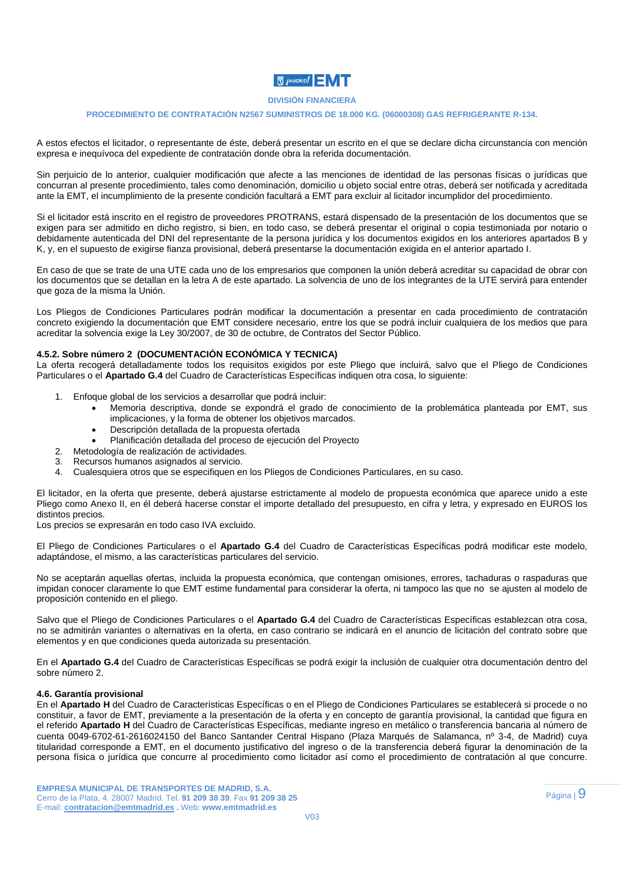## **DIVISIÓN FINANCIERA**

#### **PROCEDIMIENTO DE CONTRATACIÓN N2567 SUMINISTROS DE 18.000 KG. (06000308) GAS REFRIGERANTE R-134.**

A estos efectos el licitador, o representante de éste, deberá presentar un escrito en el que se declare dicha circunstancia con mención expresa e inequívoca del expediente de contratación donde obra la referida documentación.

Sin perjuicio de lo anterior, cualquier modificación que afecte a las menciones de identidad de las personas físicas o jurídicas que concurran al presente procedimiento, tales como denominación, domicilio u objeto social entre otras, deberá ser notificada y acreditada ante la EMT, el incumplimiento de la presente condición facultará a EMT para excluir al licitador incumplidor del procedimiento.

Si el licitador está inscrito en el registro de proveedores PROTRANS, estará dispensado de la presentación de los documentos que se exigen para ser admitido en dicho registro, si bien, en todo caso, se deberá presentar el original o copia testimoniada por notario o debidamente autenticada del DNI del representante de la persona jurídica y los documentos exigidos en los anteriores apartados B y K, y, en el supuesto de exigirse fianza provisional, deberá presentarse la documentación exigida en el anterior apartado I.

En caso de que se trate de una UTE cada uno de los empresarios que componen la unión deberá acreditar su capacidad de obrar con los documentos que se detallan en la letra A de este apartado. La solvencia de uno de los integrantes de la UTE servirá para entender que goza de la misma la Unión.

Los Pliegos de Condiciones Particulares podrán modificar la documentación a presentar en cada procedimiento de contratación concreto exigiendo la documentación que EMT considere necesario, entre los que se podrá incluir cualquiera de los medios que para acreditar la solvencia exige la Ley 30/2007, de 30 de octubre, de Contratos del Sector Público.

### **4.5.2. Sobre número 2 (DOCUMENTACIÓN ECONÓMICA Y TECNICA)**

La oferta recogerá detalladamente todos los requisitos exigidos por este Pliego que incluirá, salvo que el Pliego de Condiciones Particulares o el **Apartado G.4** del Cuadro de Características Específicas indiquen otra cosa, lo siguiente:

- 1. Enfoque global de los servicios a desarrollar que podrá incluir:
	- Memoria descriptiva, donde se expondrá el grado de conocimiento de la problemática planteada por EMT, sus implicaciones, y la forma de obtener los objetivos marcados.
	- Descripción detallada de la propuesta ofertada
	- Planificación detallada del proceso de ejecución del Proyecto
- 2. Metodología de realización de actividades.
- 3. Recursos humanos asignados al servicio.
- 4. Cualesquiera otros que se especifiquen en los Pliegos de Condiciones Particulares, en su caso.

El licitador, en la oferta que presente, deberá ajustarse estrictamente al modelo de propuesta económica que aparece unido a este Pliego como Anexo II, en él deberá hacerse constar el importe detallado del presupuesto, en cifra y letra, y expresado en EUROS los distintos precios.

Los precios se expresarán en todo caso IVA excluido.

El Pliego de Condiciones Particulares o el **Apartado G.4** del Cuadro de Características Específicas podrá modificar este modelo, adaptándose, el mismo, a las características particulares del servicio.

No se aceptarán aquellas ofertas, incluida la propuesta económica, que contengan omisiones, errores, tachaduras o raspaduras que impidan conocer claramente lo que EMT estime fundamental para considerar la oferta, ni tampoco las que no se ajusten al modelo de proposición contenido en el pliego.

Salvo que el Pliego de Condiciones Particulares o el **Apartado G.4** del Cuadro de Características Específicas establezcan otra cosa, no se admitirán variantes o alternativas en la oferta, en caso contrario se indicará en el anuncio de licitación del contrato sobre que elementos y en que condiciones queda autorizada su presentación.

En el **Apartado G.4** del Cuadro de Características Específicas se podrá exigir la inclusión de cualquier otra documentación dentro del sobre número 2.

#### **4.6. Garantía provisional**

En el **Apartado H** del Cuadro de Características Específicas o en el Pliego de Condiciones Particulares se establecerá si procede o no constituir, a favor de EMT, previamente a la presentación de la oferta y en concepto de garantía provisional, la cantidad que figura en el referido **Apartado H** del Cuadro de Características Específicas, mediante ingreso en metálico o transferencia bancaria al número de cuenta 0049-6702-61-2616024150 del Banco Santander Central Hispano (Plaza Marqués de Salamanca, nº 3-4, de Madrid) cuya titularidad corresponde a EMT, en el documento justificativo del ingreso o de la transferencia deberá figurar la denominación de la persona física o jurídica que concurre al procedimiento como licitador así como el procedimiento de contratación al que concurre.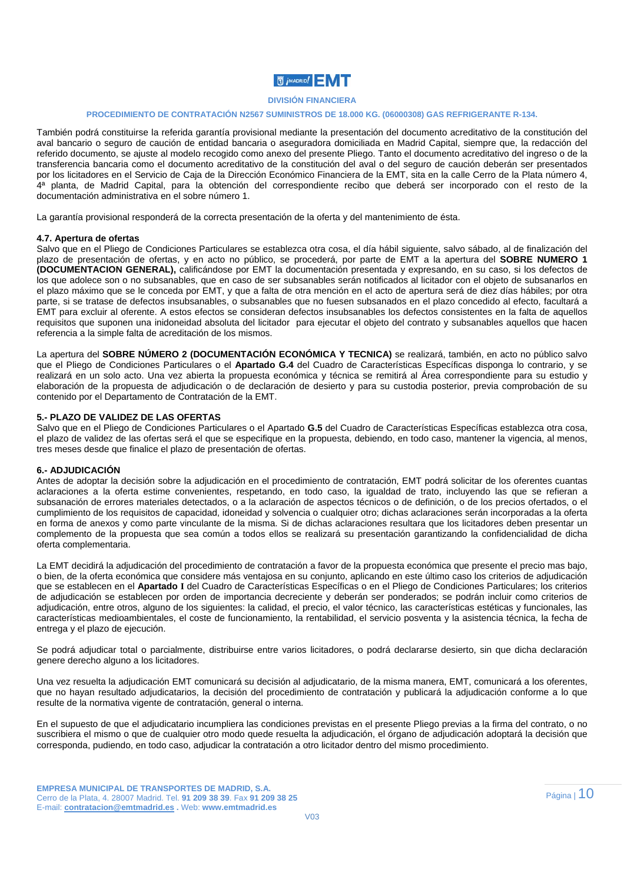

### **PROCEDIMIENTO DE CONTRATACIÓN N2567 SUMINISTROS DE 18.000 KG. (06000308) GAS REFRIGERANTE R-134.**

También podrá constituirse la referida garantía provisional mediante la presentación del documento acreditativo de la constitución del aval bancario o seguro de caución de entidad bancaria o aseguradora domiciliada en Madrid Capital, siempre que, la redacción del referido documento, se ajuste al modelo recogido como anexo del presente Pliego. Tanto el documento acreditativo del ingreso o de la transferencia bancaria como el documento acreditativo de la constitución del aval o del seguro de caución deberán ser presentados por los licitadores en el Servicio de Caja de la Dirección Económico Financiera de la EMT, sita en la calle Cerro de la Plata número 4, 4ª planta, de Madrid Capital, para la obtención del correspondiente recibo que deberá ser incorporado con el resto de la documentación administrativa en el sobre número 1.

La garantía provisional responderá de la correcta presentación de la oferta y del mantenimiento de ésta.

#### **4.7. Apertura de ofertas**

Salvo que en el Pliego de Condiciones Particulares se establezca otra cosa, el día hábil siguiente, salvo sábado, al de finalización del plazo de presentación de ofertas, y en acto no público, se procederá, por parte de EMT a la apertura del **SOBRE NUMERO 1 (DOCUMENTACION GENERAL),** calificándose por EMT la documentación presentada y expresando, en su caso, si los defectos de los que adolece son o no subsanables, que en caso de ser subsanables serán notificados al licitador con el objeto de subsanarlos en el plazo máximo que se le conceda por EMT, y que a falta de otra mención en el acto de apertura será de diez días hábiles; por otra parte, si se tratase de defectos insubsanables, o subsanables que no fuesen subsanados en el plazo concedido al efecto, facultará a EMT para excluir al oferente. A estos efectos se consideran defectos insubsanables los defectos consistentes en la falta de aquellos requisitos que suponen una inidoneidad absoluta del licitador para ejecutar el objeto del contrato y subsanables aquellos que hacen referencia a la simple falta de acreditación de los mismos.

La apertura del **SOBRE NÚMERO 2 (DOCUMENTACIÓN ECONÓMICA Y TECNICA)** se realizará, también, en acto no público salvo que el Pliego de Condiciones Particulares o el **Apartado G.4** del Cuadro de Características Específicas disponga lo contrario, y se realizará en un solo acto. Una vez abierta la propuesta económica y técnica se remitirá al Área correspondiente para su estudio y elaboración de la propuesta de adjudicación o de declaración de desierto y para su custodia posterior, previa comprobación de su contenido por el Departamento de Contratación de la EMT.

#### **5.- PLAZO DE VALIDEZ DE LAS OFERTAS**

Salvo que en el Pliego de Condiciones Particulares o el Apartado **G.5** del Cuadro de Características Específicas establezca otra cosa, el plazo de validez de las ofertas será el que se especifique en la propuesta, debiendo, en todo caso, mantener la vigencia, al menos, tres meses desde que finalice el plazo de presentación de ofertas.

#### **6.- ADJUDICACIÓN**

Antes de adoptar la decisión sobre la adjudicación en el procedimiento de contratación, EMT podrá solicitar de los oferentes cuantas aclaraciones a la oferta estime convenientes, respetando, en todo caso, la igualdad de trato, incluyendo las que se refieran a subsanación de errores materiales detectados, o a la aclaración de aspectos técnicos o de definición, o de los precios ofertados, o el cumplimiento de los requisitos de capacidad, idoneidad y solvencia o cualquier otro; dichas aclaraciones serán incorporadas a la oferta en forma de anexos y como parte vinculante de la misma. Si de dichas aclaraciones resultara que los licitadores deben presentar un complemento de la propuesta que sea común a todos ellos se realizará su presentación garantizando la confidencialidad de dicha oferta complementaria.

La EMT decidirá la adjudicación del procedimiento de contratación a favor de la propuesta económica que presente el precio mas bajo, o bien, de la oferta económica que considere más ventajosa en su conjunto, aplicando en este último caso los criterios de adjudicación que se establecen en el **Apartado I** del Cuadro de Características Específicas o en el Pliego de Condiciones Particulares; los criterios de adjudicación se establecen por orden de importancia decreciente y deberán ser ponderados; se podrán incluir como criterios de adjudicación, entre otros, alguno de los siguientes: la calidad, el precio, el valor técnico, las características estéticas y funcionales, las características medioambientales, el coste de funcionamiento, la rentabilidad, el servicio posventa y la asistencia técnica, la fecha de entrega y el plazo de ejecución.

Se podrá adjudicar total o parcialmente, distribuirse entre varios licitadores, o podrá declararse desierto, sin que dicha declaración genere derecho alguno a los licitadores.

Una vez resuelta la adjudicación EMT comunicará su decisión al adjudicatario, de la misma manera, EMT, comunicará a los oferentes, que no hayan resultado adjudicatarios, la decisión del procedimiento de contratación y publicará la adjudicación conforme a lo que resulte de la normativa vigente de contratación, general o interna.

En el supuesto de que el adjudicatario incumpliera las condiciones previstas en el presente Pliego previas a la firma del contrato, o no suscribiera el mismo o que de cualquier otro modo quede resuelta la adjudicación, el órgano de adjudicación adoptará la decisión que corresponda, pudiendo, en todo caso, adjudicar la contratación a otro licitador dentro del mismo procedimiento.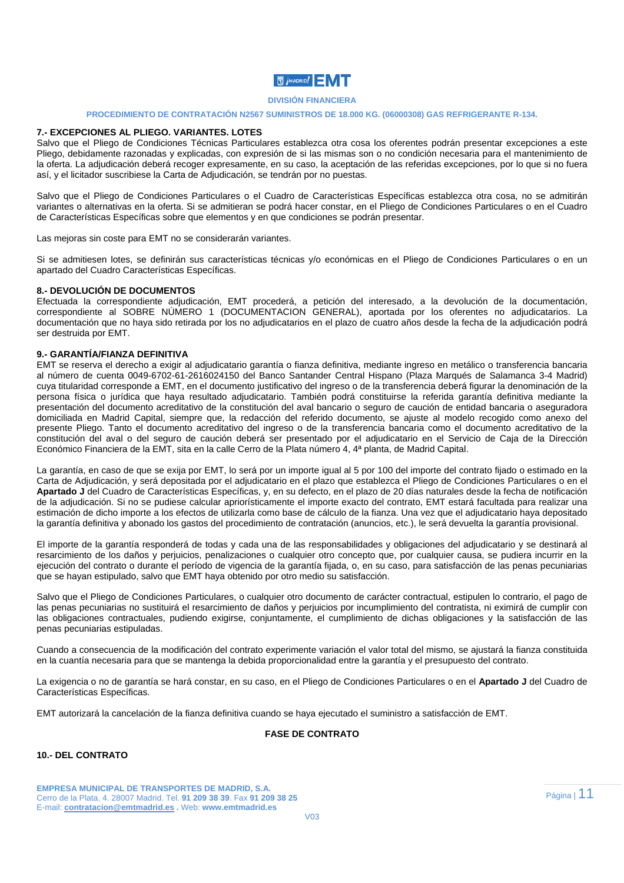#### **DIVISIÓN FINANCIERA**

## **PROCEDIMIENTO DE CONTRATACIÓN N2567 SUMINISTROS DE 18.000 KG. (06000308) GAS REFRIGERANTE R-134.**

#### **7.- EXCEPCIONES AL PLIEGO. VARIANTES. LOTES**

Salvo que el Pliego de Condiciones Técnicas Particulares establezca otra cosa los oferentes podrán presentar excepciones a este Pliego, debidamente razonadas y explicadas, con expresión de si las mismas son o no condición necesaria para el mantenimiento de la oferta. La adjudicación deberá recoger expresamente, en su caso, la aceptación de las referidas excepciones, por lo que si no fuera así, y el licitador suscribiese la Carta de Adjudicación, se tendrán por no puestas.

Salvo que el Pliego de Condiciones Particulares o el Cuadro de Características Específicas establezca otra cosa, no se admitirán variantes o alternativas en la oferta. Si se admitieran se podrá hacer constar, en el Pliego de Condiciones Particulares o en el Cuadro de Características Específicas sobre que elementos y en que condiciones se podrán presentar.

Las mejoras sin coste para EMT no se considerarán variantes.

Si se admitiesen lotes, se definirán sus características técnicas y/o económicas en el Pliego de Condiciones Particulares o en un apartado del Cuadro Características Específicas.

#### **8.- DEVOLUCIÓN DE DOCUMENTOS**

Efectuada la correspondiente adjudicación, EMT procederá, a petición del interesado, a la devolución de la documentación, correspondiente al SOBRE NÚMERO 1 (DOCUMENTACION GENERAL), aportada por los oferentes no adjudicatarios. La documentación que no haya sido retirada por los no adjudicatarios en el plazo de cuatro años desde la fecha de la adjudicación podrá ser destruida por EMT.

### **9.- GARANTÍA/FIANZA DEFINITIVA**

EMT se reserva el derecho a exigir al adjudicatario garantía o fianza definitiva, mediante ingreso en metálico o transferencia bancaria al número de cuenta 0049-6702-61-2616024150 del Banco Santander Central Hispano (Plaza Marqués de Salamanca 3-4 Madrid) cuya titularidad corresponde a EMT, en el documento justificativo del ingreso o de la transferencia deberá figurar la denominación de la persona física o jurídica que haya resultado adjudicatario. También podrá constituirse la referida garantía definitiva mediante la presentación del documento acreditativo de la constitución del aval bancario o seguro de caución de entidad bancaria o aseguradora domiciliada en Madrid Capital, siempre que, la redacción del referido documento, se ajuste al modelo recogido como anexo del presente Pliego. Tanto el documento acreditativo del ingreso o de la transferencia bancaria como el documento acreditativo de la constitución del aval o del seguro de caución deberá ser presentado por el adjudicatario en el Servicio de Caja de la Dirección Económico Financiera de la EMT, sita en la calle Cerro de la Plata número 4, 4ª planta, de Madrid Capital.

La garantía, en caso de que se exija por EMT, lo será por un importe igual al 5 por 100 del importe del contrato fijado o estimado en la Carta de Adjudicación, y será depositada por el adjudicatario en el plazo que establezca el Pliego de Condiciones Particulares o en el **Apartado J** del Cuadro de Características Específicas, y, en su defecto, en el plazo de 20 días naturales desde la fecha de notificación de la adjudicación. Si no se pudiese calcular apriorísticamente el importe exacto del contrato, EMT estará facultada para realizar una estimación de dicho importe a los efectos de utilizarla como base de cálculo de la fianza. Una vez que el adjudicatario haya depositado la garantía definitiva y abonado los gastos del procedimiento de contratación (anuncios, etc.), le será devuelta la garantía provisional.

El importe de la garantía responderá de todas y cada una de las responsabilidades y obligaciones del adjudicatario y se destinará al resarcimiento de los daños y perjuicios, penalizaciones o cualquier otro concepto que, por cualquier causa, se pudiera incurrir en la ejecución del contrato o durante el período de vigencia de la garantía fijada, o, en su caso, para satisfacción de las penas pecuniarias que se hayan estipulado, salvo que EMT haya obtenido por otro medio su satisfacción.

Salvo que el Pliego de Condiciones Particulares, o cualquier otro documento de carácter contractual, estipulen lo contrario, el pago de las penas pecuniarias no sustituirá el resarcimiento de daños y perjuicios por incumplimiento del contratista, ni eximirá de cumplir con las obligaciones contractuales, pudiendo exigirse, conjuntamente, el cumplimiento de dichas obligaciones y la satisfacción de las penas pecuniarias estipuladas.

Cuando a consecuencia de la modificación del contrato experimente variación el valor total del mismo, se ajustará la fianza constituida en la cuantía necesaria para que se mantenga la debida proporcionalidad entre la garantía y el presupuesto del contrato.

La exigencia o no de garantía se hará constar, en su caso, en el Pliego de Condiciones Particulares o en el **Apartado J** del Cuadro de Características Específicas.

EMT autorizará la cancelación de la fianza definitiva cuando se haya ejecutado el suministro a satisfacción de EMT.

### **FASE DE CONTRATO**

## **10.- DEL CONTRATO**

**EMPRESA MUNICIPAL DE TRANSPORTES DE MADRID, S.A.**  Cerro de la Plata, 4. 28007 Madrid. Tel. **91 209 38 39**. Fax **91 209 38 25**  E-mail: **contratacion@emtmadrid.es .** Web: **www.emtmadrid.es**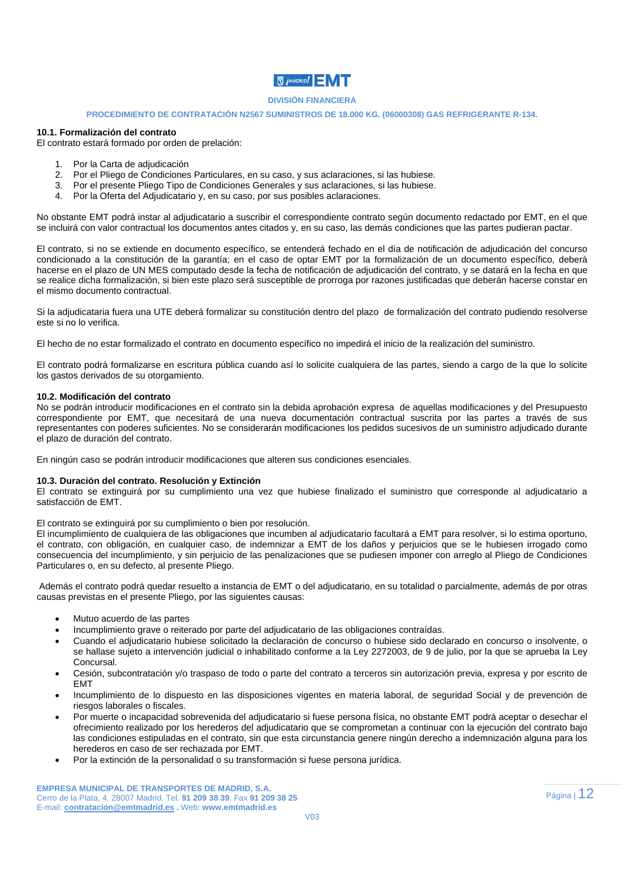# **N** *j* MADRID!

### **DIVISIÓN FINANCIERA**

#### **PROCEDIMIENTO DE CONTRATACIÓN N2567 SUMINISTROS DE 18.000 KG. (06000308) GAS REFRIGERANTE R-134.**

#### **10.1. Formalización del contrato**

El contrato estará formado por orden de prelación:

- 1. Por la Carta de adjudicación
- 2. Por el Pliego de Condiciones Particulares, en su caso, y sus aclaraciones, si las hubiese.
- 3. Por el presente Pliego Tipo de Condiciones Generales y sus aclaraciones, si las hubiese.
- 4. Por la Oferta del Adjudicatario y, en su caso, por sus posibles aclaraciones.

No obstante EMT podrá instar al adjudicatario a suscribir el correspondiente contrato según documento redactado por EMT, en el que se incluirá con valor contractual los documentos antes citados y, en su caso, las demás condiciones que las partes pudieran pactar.

El contrato, si no se extiende en documento específico, se entenderá fechado en el día de notificación de adjudicación del concurso condicionado a la constitución de la garantía; en el caso de optar EMT por la formalización de un documento específico, deberá hacerse en el plazo de UN MES computado desde la fecha de notificación de adjudicación del contrato, y se datará en la fecha en que se realice dicha formalización, si bien este plazo será susceptible de prorroga por razones justificadas que deberán hacerse constar en el mismo documento contractual.

Si la adjudicataria fuera una UTE deberá formalizar su constitución dentro del plazo de formalización del contrato pudiendo resolverse este si no lo verifica.

El hecho de no estar formalizado el contrato en documento específico no impedirá el inicio de la realización del suministro.

El contrato podrá formalizarse en escritura pública cuando así lo solicite cualquiera de las partes, siendo a cargo de la que lo solicite los gastos derivados de su otorgamiento.

#### **10.2. Modificación del contrato**

No se podrán introducir modificaciones en el contrato sin la debida aprobación expresa de aquellas modificaciones y del Presupuesto correspondiente por EMT, que necesitará de una nueva documentación contractual suscrita por las partes a través de sus representantes con poderes suficientes. No se considerarán modificaciones los pedidos sucesivos de un suministro adjudicado durante el plazo de duración del contrato.

En ningún caso se podrán introducir modificaciones que alteren sus condiciones esenciales.

#### **10.3. Duración del contrato. Resolución y Extinción**

El contrato se extinguirá por su cumplimiento una vez que hubiese finalizado el suministro que corresponde al adjudicatario a satisfacción de EMT.

El contrato se extinguirá por su cumplimiento o bien por resolución.

El incumplimiento de cualquiera de las obligaciones que incumben al adjudicatario facultará a EMT para resolver, si lo estima oportuno, el contrato, con obligación, en cualquier caso, de indemnizar a EMT de los daños y perjuicios que se le hubiesen irrogado como consecuencia del incumplimiento, y sin perjuicio de las penalizaciones que se pudiesen imponer con arreglo al Pliego de Condiciones Particulares o, en su defecto, al presente Pliego.

 Además el contrato podrá quedar resuelto a instancia de EMT o del adjudicatario, en su totalidad o parcialmente, además de por otras causas previstas en el presente Pliego, por las siguientes causas:

- Mutuo acuerdo de las partes
- Incumplimiento grave o reiterado por parte del adjudicatario de las obligaciones contraídas.
- Cuando el adjudicatario hubiese solicitado la declaración de concurso o hubiese sido declarado en concurso o insolvente, o se hallase sujeto a intervención judicial o inhabilitado conforme a la Ley 2272003, de 9 de julio, por la que se aprueba la Ley **Concursal**
- Cesión, subcontratación y/o traspaso de todo o parte del contrato a terceros sin autorización previa, expresa y por escrito de EMT
- Incumplimiento de lo dispuesto en las disposiciones vigentes en materia laboral, de seguridad Social y de prevención de riesgos laborales o fiscales.
- Por muerte o incapacidad sobrevenida del adjudicatario si fuese persona física, no obstante EMT podrá aceptar o desechar el ofrecimiento realizado por los herederos del adjudicatario que se comprometan a continuar con la ejecución del contrato bajo las condiciones estipuladas en el contrato, sin que esta circunstancia genere ningún derecho a indemnización alguna para los herederos en caso de ser rechazada por EMT.
- Por la extinción de la personalidad o su transformación si fuese persona jurídica.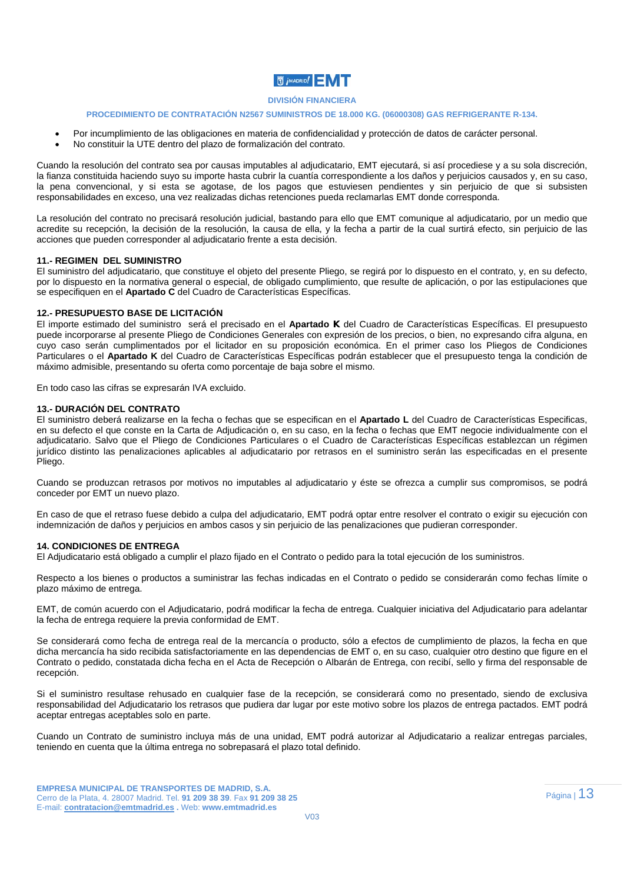

#### **PROCEDIMIENTO DE CONTRATACIÓN N2567 SUMINISTROS DE 18.000 KG. (06000308) GAS REFRIGERANTE R-134.**

- Por incumplimiento de las obligaciones en materia de confidencialidad y protección de datos de carácter personal.
- No constituir la UTE dentro del plazo de formalización del contrato.

Cuando la resolución del contrato sea por causas imputables al adjudicatario, EMT ejecutará, si así procediese y a su sola discreción, la fianza constituida haciendo suyo su importe hasta cubrir la cuantía correspondiente a los daños y perjuicios causados y, en su caso, la pena convencional, y si esta se agotase, de los pagos que estuviesen pendientes y sin perjuicio de que si subsisten responsabilidades en exceso, una vez realizadas dichas retenciones pueda reclamarlas EMT donde corresponda.

La resolución del contrato no precisará resolución judicial, bastando para ello que EMT comunique al adjudicatario, por un medio que acredite su recepción, la decisión de la resolución, la causa de ella, y la fecha a partir de la cual surtirá efecto, sin perjuicio de las acciones que pueden corresponder al adjudicatario frente a esta decisión.

#### **11.- REGIMEN DEL SUMINISTRO**

El suministro del adjudicatario, que constituye el objeto del presente Pliego, se regirá por lo dispuesto en el contrato, y, en su defecto, por lo dispuesto en la normativa general o especial, de obligado cumplimiento, que resulte de aplicación, o por las estipulaciones que se especifiquen en el **Apartado C** del Cuadro de Características Específicas.

#### **12.- PRESUPUESTO BASE DE LICITACIÓN**

El importe estimado del suministro será el precisado en el **Apartado K** del Cuadro de Características Específicas. El presupuesto puede incorporarse al presente Pliego de Condiciones Generales con expresión de los precios, o bien, no expresando cifra alguna, en cuyo caso serán cumplimentados por el licitador en su proposición económica. En el primer caso los Pliegos de Condiciones Particulares o el **Apartado K** del Cuadro de Características Específicas podrán establecer que el presupuesto tenga la condición de máximo admisible, presentando su oferta como porcentaje de baja sobre el mismo.

En todo caso las cifras se expresarán IVA excluido.

#### **13.- DURACIÓN DEL CONTRATO**

El suministro deberá realizarse en la fecha o fechas que se especifican en el **Apartado L** del Cuadro de Características Especificas, en su defecto el que conste en la Carta de Adjudicación o, en su caso, en la fecha o fechas que EMT negocie individualmente con el adjudicatario. Salvo que el Pliego de Condiciones Particulares o el Cuadro de Características Específicas establezcan un régimen jurídico distinto las penalizaciones aplicables al adjudicatario por retrasos en el suministro serán las especificadas en el presente Pliego.

Cuando se produzcan retrasos por motivos no imputables al adjudicatario y éste se ofrezca a cumplir sus compromisos, se podrá conceder por EMT un nuevo plazo.

En caso de que el retraso fuese debido a culpa del adjudicatario, EMT podrá optar entre resolver el contrato o exigir su ejecución con indemnización de daños y perjuicios en ambos casos y sin perjuicio de las penalizaciones que pudieran corresponder.

#### **14. CONDICIONES DE ENTREGA**

El Adjudicatario está obligado a cumplir el plazo fijado en el Contrato o pedido para la total ejecución de los suministros.

Respecto a los bienes o productos a suministrar las fechas indicadas en el Contrato o pedido se considerarán como fechas límite o plazo máximo de entrega.

EMT, de común acuerdo con el Adjudicatario, podrá modificar la fecha de entrega. Cualquier iniciativa del Adjudicatario para adelantar la fecha de entrega requiere la previa conformidad de EMT.

Se considerará como fecha de entrega real de la mercancía o producto, sólo a efectos de cumplimiento de plazos, la fecha en que dicha mercancía ha sido recibida satisfactoriamente en las dependencias de EMT o, en su caso, cualquier otro destino que figure en el Contrato o pedido, constatada dicha fecha en el Acta de Recepción o Albarán de Entrega, con recibí, sello y firma del responsable de recepción.

Si el suministro resultase rehusado en cualquier fase de la recepción, se considerará como no presentado, siendo de exclusiva responsabilidad del Adjudicatario los retrasos que pudiera dar lugar por este motivo sobre los plazos de entrega pactados. EMT podrá aceptar entregas aceptables solo en parte.

Cuando un Contrato de suministro incluya más de una unidad, EMT podrá autorizar al Adjudicatario a realizar entregas parciales, teniendo en cuenta que la última entrega no sobrepasará el plazo total definido.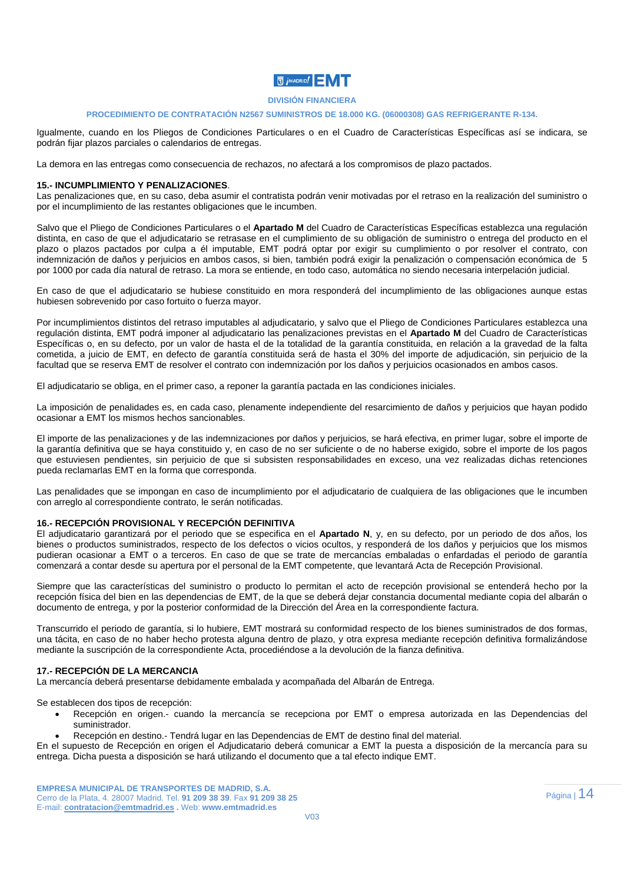#### **DIVISIÓN FINANCIERA**

#### **PROCEDIMIENTO DE CONTRATACIÓN N2567 SUMINISTROS DE 18.000 KG. (06000308) GAS REFRIGERANTE R-134.**

Igualmente, cuando en los Pliegos de Condiciones Particulares o en el Cuadro de Características Específicas así se indicara, se podrán fijar plazos parciales o calendarios de entregas.

La demora en las entregas como consecuencia de rechazos, no afectará a los compromisos de plazo pactados.

#### **15.- INCUMPLIMIENTO Y PENALIZACIONES**.

Las penalizaciones que, en su caso, deba asumir el contratista podrán venir motivadas por el retraso en la realización del suministro o por el incumplimiento de las restantes obligaciones que le incumben.

Salvo que el Pliego de Condiciones Particulares o el **Apartado M** del Cuadro de Características Específicas establezca una regulación distinta, en caso de que el adjudicatario se retrasase en el cumplimiento de su obligación de suministro o entrega del producto en el plazo o plazos pactados por culpa a él imputable, EMT podrá optar por exigir su cumplimiento o por resolver el contrato, con indemnización de daños y perjuicios en ambos casos, si bien, también podrá exigir la penalización o compensación económica de 5 por 1000 por cada día natural de retraso. La mora se entiende, en todo caso, automática no siendo necesaria interpelación judicial.

En caso de que el adjudicatario se hubiese constituido en mora responderá del incumplimiento de las obligaciones aunque estas hubiesen sobrevenido por caso fortuito o fuerza mayor.

Por incumplimientos distintos del retraso imputables al adjudicatario, y salvo que el Pliego de Condiciones Particulares establezca una regulación distinta, EMT podrá imponer al adjudicatario las penalizaciones previstas en el **Apartado M** del Cuadro de Características Específicas o, en su defecto, por un valor de hasta el de la totalidad de la garantía constituida, en relación a la gravedad de la falta cometida, a juicio de EMT, en defecto de garantía constituida será de hasta el 30% del importe de adjudicación, sin perjuicio de la facultad que se reserva EMT de resolver el contrato con indemnización por los daños y perjuicios ocasionados en ambos casos.

El adjudicatario se obliga, en el primer caso, a reponer la garantía pactada en las condiciones iniciales.

La imposición de penalidades es, en cada caso, plenamente independiente del resarcimiento de daños y perjuicios que hayan podido ocasionar a EMT los mismos hechos sancionables.

El importe de las penalizaciones y de las indemnizaciones por daños y perjuicios, se hará efectiva, en primer lugar, sobre el importe de la garantía definitiva que se haya constituido y, en caso de no ser suficiente o de no haberse exigido, sobre el importe de los pagos que estuviesen pendientes, sin perjuicio de que si subsisten responsabilidades en exceso, una vez realizadas dichas retenciones pueda reclamarlas EMT en la forma que corresponda.

Las penalidades que se impongan en caso de incumplimiento por el adjudicatario de cualquiera de las obligaciones que le incumben con arreglo al correspondiente contrato, le serán notificadas.

#### **16.- RECEPCIÓN PROVISIONAL Y RECEPCIÓN DEFINITIVA**

El adjudicatario garantizará por el periodo que se especifica en el **Apartado N**, y, en su defecto, por un periodo de dos años, los bienes o productos suministrados, respecto de los defectos o vicios ocultos, y responderá de los daños y perjuicios que los mismos pudieran ocasionar a EMT o a terceros. En caso de que se trate de mercancías embaladas o enfardadas el periodo de garantía comenzará a contar desde su apertura por el personal de la EMT competente, que levantará Acta de Recepción Provisional.

Siempre que las características del suministro o producto lo permitan el acto de recepción provisional se entenderá hecho por la recepción física del bien en las dependencias de EMT, de la que se deberá dejar constancia documental mediante copia del albarán o documento de entrega, y por la posterior conformidad de la Dirección del Área en la correspondiente factura.

Transcurrido el periodo de garantía, si lo hubiere, EMT mostrará su conformidad respecto de los bienes suministrados de dos formas, una tácita, en caso de no haber hecho protesta alguna dentro de plazo, y otra expresa mediante recepción definitiva formalizándose mediante la suscripción de la correspondiente Acta, procediéndose a la devolución de la fianza definitiva.

#### **17.- RECEPCIÓN DE LA MERCANCIA**

La mercancía deberá presentarse debidamente embalada y acompañada del Albarán de Entrega.

Se establecen dos tipos de recepción:

- Recepción en origen.- cuando la mercancía se recepciona por EMT o empresa autorizada en las Dependencias del suministrador.
- Recepción en destino.- Tendrá lugar en las Dependencias de EMT de destino final del material.

En el supuesto de Recepción en origen el Adjudicatario deberá comunicar a EMT la puesta a disposición de la mercancía para su entrega. Dicha puesta a disposición se hará utilizando el documento que a tal efecto indique EMT.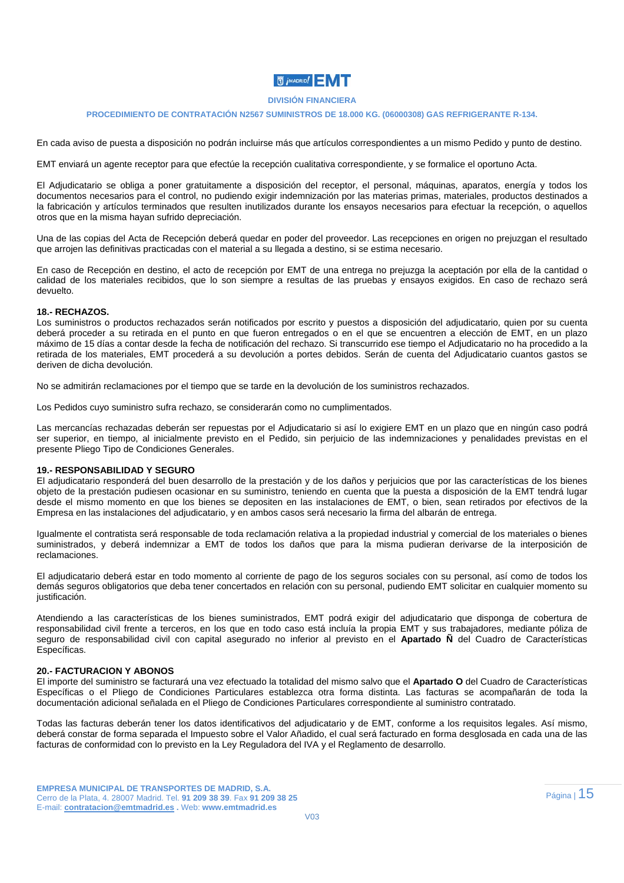### **DIVISIÓN FINANCIERA**

#### **PROCEDIMIENTO DE CONTRATACIÓN N2567 SUMINISTROS DE 18.000 KG. (06000308) GAS REFRIGERANTE R-134.**

En cada aviso de puesta a disposición no podrán incluirse más que artículos correspondientes a un mismo Pedido y punto de destino.

EMT enviará un agente receptor para que efectúe la recepción cualitativa correspondiente, y se formalice el oportuno Acta.

El Adjudicatario se obliga a poner gratuitamente a disposición del receptor, el personal, máquinas, aparatos, energía y todos los documentos necesarios para el control, no pudiendo exigir indemnización por las materias primas, materiales, productos destinados a la fabricación y artículos terminados que resulten inutilizados durante los ensayos necesarios para efectuar la recepción, o aquellos otros que en la misma hayan sufrido depreciación.

Una de las copias del Acta de Recepción deberá quedar en poder del proveedor. Las recepciones en origen no prejuzgan el resultado que arrojen las definitivas practicadas con el material a su llegada a destino, si se estima necesario.

En caso de Recepción en destino, el acto de recepción por EMT de una entrega no prejuzga la aceptación por ella de la cantidad o calidad de los materiales recibidos, que lo son siempre a resultas de las pruebas y ensayos exigidos. En caso de rechazo será devuelto.

#### **18.- RECHAZOS.**

Los suministros o productos rechazados serán notificados por escrito y puestos a disposición del adjudicatario, quien por su cuenta deberá proceder a su retirada en el punto en que fueron entregados o en el que se encuentren a elección de EMT, en un plazo máximo de 15 días a contar desde la fecha de notificación del rechazo. Si transcurrido ese tiempo el Adjudicatario no ha procedido a la retirada de los materiales, EMT procederá a su devolución a portes debidos. Serán de cuenta del Adjudicatario cuantos gastos se deriven de dicha devolución.

No se admitirán reclamaciones por el tiempo que se tarde en la devolución de los suministros rechazados.

Los Pedidos cuyo suministro sufra rechazo, se considerarán como no cumplimentados.

Las mercancías rechazadas deberán ser repuestas por el Adjudicatario si así lo exigiere EMT en un plazo que en ningún caso podrá ser superior, en tiempo, al inicialmente previsto en el Pedido, sin perjuicio de las indemnizaciones y penalidades previstas en el presente Pliego Tipo de Condiciones Generales.

#### **19.- RESPONSABILIDAD Y SEGURO**

El adjudicatario responderá del buen desarrollo de la prestación y de los daños y perjuicios que por las características de los bienes objeto de la prestación pudiesen ocasionar en su suministro, teniendo en cuenta que la puesta a disposición de la EMT tendrá lugar desde el mismo momento en que los bienes se depositen en las instalaciones de EMT, o bien, sean retirados por efectivos de la Empresa en las instalaciones del adjudicatario, y en ambos casos será necesario la firma del albarán de entrega.

Igualmente el contratista será responsable de toda reclamación relativa a la propiedad industrial y comercial de los materiales o bienes suministrados, y deberá indemnizar a EMT de todos los daños que para la misma pudieran derivarse de la interposición de reclamaciones.

El adjudicatario deberá estar en todo momento al corriente de pago de los seguros sociales con su personal, así como de todos los demás seguros obligatorios que deba tener concertados en relación con su personal, pudiendo EMT solicitar en cualquier momento su justificación.

Atendiendo a las características de los bienes suministrados, EMT podrá exigir del adjudicatario que disponga de cobertura de responsabilidad civil frente a terceros, en los que en todo caso está incluía la propia EMT y sus trabajadores, mediante póliza de seguro de responsabilidad civil con capital asegurado no inferior al previsto en el **Apartado Ñ** del Cuadro de Características Específicas.

#### **20.- FACTURACION Y ABONOS**

El importe del suministro se facturará una vez efectuado la totalidad del mismo salvo que el **Apartado O** del Cuadro de Características Específicas o el Pliego de Condiciones Particulares establezca otra forma distinta. Las facturas se acompañarán de toda la documentación adicional señalada en el Pliego de Condiciones Particulares correspondiente al suministro contratado.

Todas las facturas deberán tener los datos identificativos del adjudicatario y de EMT, conforme a los requisitos legales. Así mismo, deberá constar de forma separada el Impuesto sobre el Valor Añadido, el cual será facturado en forma desglosada en cada una de las facturas de conformidad con lo previsto en la Ley Reguladora del IVA y el Reglamento de desarrollo.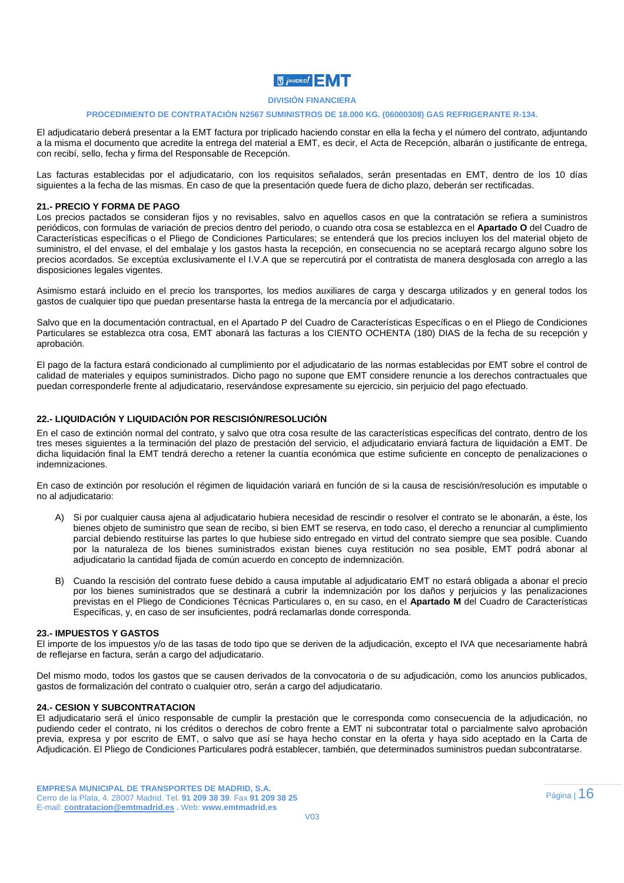### **DIVISIÓN FINANCIERA**

#### **PROCEDIMIENTO DE CONTRATACIÓN N2567 SUMINISTROS DE 18.000 KG. (06000308) GAS REFRIGERANTE R-134.**

El adjudicatario deberá presentar a la EMT factura por triplicado haciendo constar en ella la fecha y el número del contrato, adjuntando a la misma el documento que acredite la entrega del material a EMT, es decir, el Acta de Recepción, albarán o justificante de entrega, con recibí, sello, fecha y firma del Responsable de Recepción.

Las facturas establecidas por el adjudicatario, con los requisitos señalados, serán presentadas en EMT, dentro de los 10 días siguientes a la fecha de las mismas. En caso de que la presentación quede fuera de dicho plazo, deberán ser rectificadas.

#### **21.- PRECIO Y FORMA DE PAGO**

Los precios pactados se consideran fijos y no revisables, salvo en aquellos casos en que la contratación se refiera a suministros periódicos, con formulas de variación de precios dentro del periodo, o cuando otra cosa se establezca en el **Apartado O** del Cuadro de Características específicas o el Pliego de Condiciones Particulares; se entenderá que los precios incluyen los del material objeto de suministro, el del envase, el del embalaje y los gastos hasta la recepción, en consecuencia no se aceptará recargo alguno sobre los precios acordados. Se exceptúa exclusivamente el I.V.A que se repercutirá por el contratista de manera desglosada con arreglo a las disposiciones legales vigentes.

Asimismo estará incluido en el precio los transportes, los medios auxiliares de carga y descarga utilizados y en general todos los gastos de cualquier tipo que puedan presentarse hasta la entrega de la mercancía por el adjudicatario.

Salvo que en la documentación contractual, en el Apartado P del Cuadro de Características Específicas o en el Pliego de Condiciones Particulares se establezca otra cosa, EMT abonará las facturas a los CIENTO OCHENTA (180) DIAS de la fecha de su recepción y aprobación.

El pago de la factura estará condicionado al cumplimiento por el adjudicatario de las normas establecidas por EMT sobre el control de calidad de materiales y equipos suministrados. Dicho pago no supone que EMT considere renuncie a los derechos contractuales que puedan corresponderle frente al adjudicatario, reservándose expresamente su ejercicio, sin perjuicio del pago efectuado.

### **22.- LIQUIDACIÓN Y LIQUIDACIÓN POR RESCISIÓN/RESOLUCIÓN**

En el caso de extinción normal del contrato, y salvo que otra cosa resulte de las características específicas del contrato, dentro de los tres meses siguientes a la terminación del plazo de prestación del servicio, el adjudicatario enviará factura de liquidación a EMT. De dicha liquidación final la EMT tendrá derecho a retener la cuantía económica que estime suficiente en concepto de penalizaciones o indemnizaciones.

En caso de extinción por resolución el régimen de liquidación variará en función de si la causa de rescisión/resolución es imputable o no al adjudicatario:

- Si por cualquier causa ajena al adjudicatario hubiera necesidad de rescindir o resolver el contrato se le abonarán, a éste, los bienes objeto de suministro que sean de recibo, si bien EMT se reserva, en todo caso, el derecho a renunciar al cumplimiento parcial debiendo restituirse las partes lo que hubiese sido entregado en virtud del contrato siempre que sea posible. Cuando por la naturaleza de los bienes suministrados existan bienes cuya restitución no sea posible, EMT podrá abonar al adjudicatario la cantidad fijada de común acuerdo en concepto de indemnización.
- B) Cuando la rescisión del contrato fuese debido a causa imputable al adjudicatario EMT no estará obligada a abonar el precio por los bienes suministrados que se destinará a cubrir la indemnización por los daños y perjuicios y las penalizaciones previstas en el Pliego de Condiciones Técnicas Particulares o, en su caso, en el **Apartado M** del Cuadro de Características Específicas, y, en caso de ser insuficientes, podrá reclamarlas donde corresponda.

#### **23.- IMPUESTOS Y GASTOS**

El importe de los impuestos y/o de las tasas de todo tipo que se deriven de la adjudicación, excepto el IVA que necesariamente habrá de reflejarse en factura, serán a cargo del adjudicatario.

Del mismo modo, todos los gastos que se causen derivados de la convocatoria o de su adjudicación, como los anuncios publicados, gastos de formalización del contrato o cualquier otro, serán a cargo del adjudicatario.

#### **24.- CESION Y SUBCONTRATACION**

El adjudicatario será el único responsable de cumplir la prestación que le corresponda como consecuencia de la adjudicación, no pudiendo ceder el contrato, ni los créditos o derechos de cobro frente a EMT ni subcontratar total o parcialmente salvo aprobación previa, expresa y por escrito de EMT, o salvo que así se haya hecho constar en la oferta y haya sido aceptado en la Carta de Adjudicación. El Pliego de Condiciones Particulares podrá establecer, también, que determinados suministros puedan subcontratarse.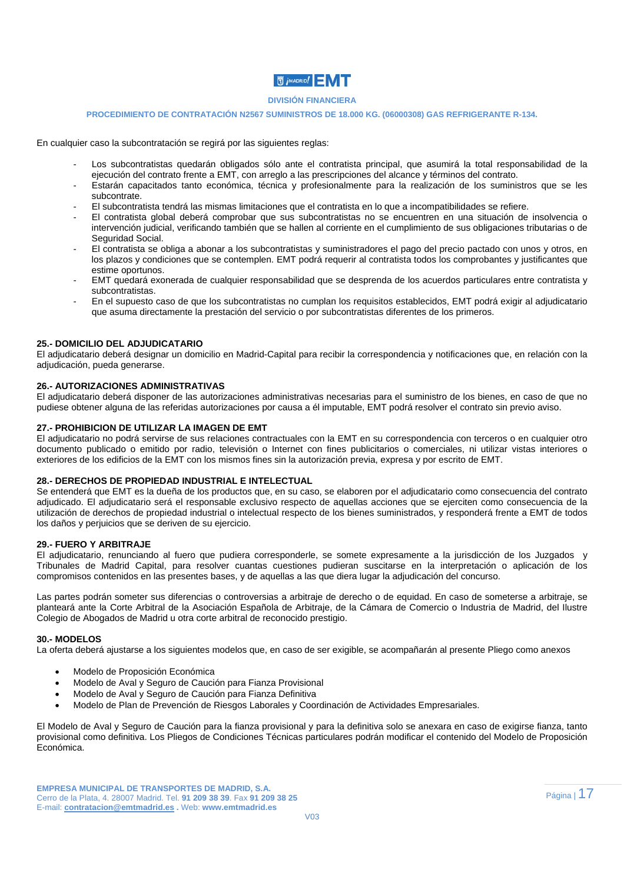## **DIVISIÓN FINANCIERA**

#### **PROCEDIMIENTO DE CONTRATACIÓN N2567 SUMINISTROS DE 18.000 KG. (06000308) GAS REFRIGERANTE R-134.**

En cualquier caso la subcontratación se regirá por las siguientes reglas:

- Los subcontratistas quedarán obligados sólo ante el contratista principal, que asumirá la total responsabilidad de la ejecución del contrato frente a EMT, con arreglo a las prescripciones del alcance y términos del contrato.
- Estarán capacitados tanto económica, técnica y profesionalmente para la realización de los suministros que se les subcontrate.
- El subcontratista tendrá las mismas limitaciones que el contratista en lo que a incompatibilidades se refiere.
- El contratista global deberá comprobar que sus subcontratistas no se encuentren en una situación de insolvencia o intervención judicial, verificando también que se hallen al corriente en el cumplimiento de sus obligaciones tributarias o de Seguridad Social.
- El contratista se obliga a abonar a los subcontratistas y suministradores el pago del precio pactado con unos y otros, en los plazos y condiciones que se contemplen. EMT podrá requerir al contratista todos los comprobantes y justificantes que estime oportunos.
- EMT quedará exonerada de cualquier responsabilidad que se desprenda de los acuerdos particulares entre contratista y subcontratistas.
- En el supuesto caso de que los subcontratistas no cumplan los requisitos establecidos, EMT podrá exigir al adjudicatario que asuma directamente la prestación del servicio o por subcontratistas diferentes de los primeros.

### **25.- DOMICILIO DEL ADJUDICATARIO**

El adjudicatario deberá designar un domicilio en Madrid-Capital para recibir la correspondencia y notificaciones que, en relación con la adjudicación, pueda generarse.

#### **26.- AUTORIZACIONES ADMINISTRATIVAS**

El adjudicatario deberá disponer de las autorizaciones administrativas necesarias para el suministro de los bienes, en caso de que no pudiese obtener alguna de las referidas autorizaciones por causa a él imputable, EMT podrá resolver el contrato sin previo aviso.

### **27.- PROHIBICION DE UTILIZAR LA IMAGEN DE EMT**

El adjudicatario no podrá servirse de sus relaciones contractuales con la EMT en su correspondencia con terceros o en cualquier otro documento publicado o emitido por radio, televisión o Internet con fines publicitarios o comerciales, ni utilizar vistas interiores o exteriores de los edificios de la EMT con los mismos fines sin la autorización previa, expresa y por escrito de EMT.

#### **28.- DERECHOS DE PROPIEDAD INDUSTRIAL E INTELECTUAL**

Se entenderá que EMT es la dueña de los productos que, en su caso, se elaboren por el adjudicatario como consecuencia del contrato adjudicado. El adjudicatario será el responsable exclusivo respecto de aquellas acciones que se ejerciten como consecuencia de la utilización de derechos de propiedad industrial o intelectual respecto de los bienes suministrados, y responderá frente a EMT de todos los daños y perjuicios que se deriven de su ejercicio.

#### **29.- FUERO Y ARBITRAJE**

El adjudicatario, renunciando al fuero que pudiera corresponderle, se somete expresamente a la jurisdicción de los Juzgados y Tribunales de Madrid Capital, para resolver cuantas cuestiones pudieran suscitarse en la interpretación o aplicación de los compromisos contenidos en las presentes bases, y de aquellas a las que diera lugar la adjudicación del concurso.

Las partes podrán someter sus diferencias o controversias a arbitraje de derecho o de equidad. En caso de someterse a arbitraje, se planteará ante la Corte Arbitral de la Asociación Española de Arbitraje, de la Cámara de Comercio o Industria de Madrid, del Ilustre Colegio de Abogados de Madrid u otra corte arbitral de reconocido prestigio.

#### **30.- MODELOS**

La oferta deberá ajustarse a los siguientes modelos que, en caso de ser exigible, se acompañarán al presente Pliego como anexos

- Modelo de Proposición Económica
- Modelo de Aval y Seguro de Caución para Fianza Provisional
- Modelo de Aval y Seguro de Caución para Fianza Definitiva
- Modelo de Plan de Prevención de Riesgos Laborales y Coordinación de Actividades Empresariales.

El Modelo de Aval y Seguro de Caución para la fianza provisional y para la definitiva solo se anexara en caso de exigirse fianza, tanto provisional como definitiva. Los Pliegos de Condiciones Técnicas particulares podrán modificar el contenido del Modelo de Proposición Económica.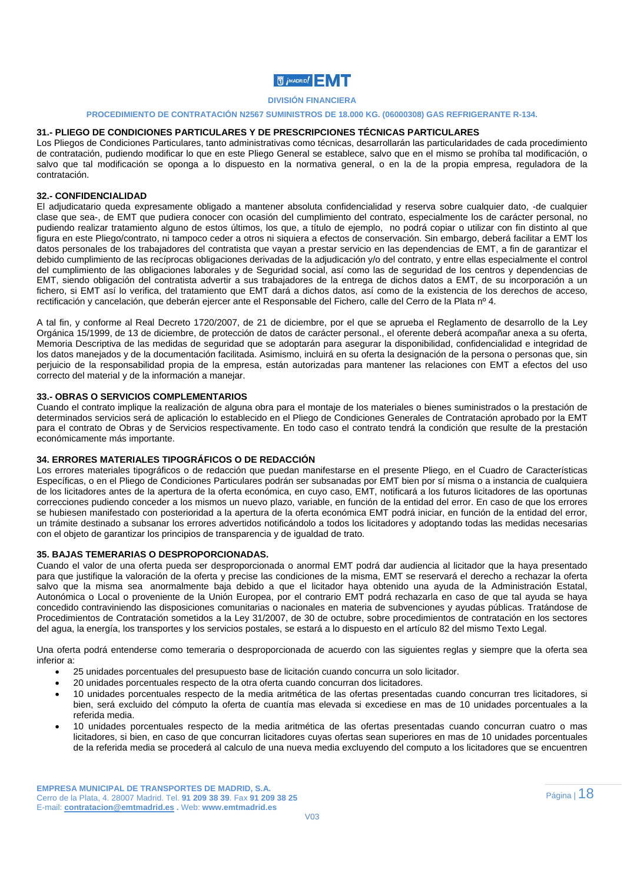#### **DIVISIÓN FINANCIERA**

## **PROCEDIMIENTO DE CONTRATACIÓN N2567 SUMINISTROS DE 18.000 KG. (06000308) GAS REFRIGERANTE R-134.**

## **31.- PLIEGO DE CONDICIONES PARTICULARES Y DE PRESCRIPCIONES TÉCNICAS PARTICULARES**

Los Pliegos de Condiciones Particulares, tanto administrativas como técnicas, desarrollarán las particularidades de cada procedimiento de contratación, pudiendo modificar lo que en este Pliego General se establece, salvo que en el mismo se prohíba tal modificación, o salvo que tal modificación se oponga a lo dispuesto en la normativa general, o en la de la propia empresa, reguladora de la contratación.

### **32.- CONFIDENCIALIDAD**

El adjudicatario queda expresamente obligado a mantener absoluta confidencialidad y reserva sobre cualquier dato, -de cualquier clase que sea-, de EMT que pudiera conocer con ocasión del cumplimiento del contrato, especialmente los de carácter personal, no pudiendo realizar tratamiento alguno de estos últimos, los que, a título de ejemplo, no podrá copiar o utilizar con fin distinto al que figura en este Pliego/contrato, ni tampoco ceder a otros ni siquiera a efectos de conservación. Sin embargo, deberá facilitar a EMT los datos personales de los trabajadores del contratista que vayan a prestar servicio en las dependencias de EMT, a fin de garantizar el debido cumplimiento de las recíprocas obligaciones derivadas de la adjudicación y/o del contrato, y entre ellas especialmente el control del cumplimiento de las obligaciones laborales y de Seguridad social, así como las de seguridad de los centros y dependencias de EMT, siendo obligación del contratista advertir a sus trabajadores de la entrega de dichos datos a EMT, de su incorporación a un fichero, si EMT así lo verifica, del tratamiento que EMT dará a dichos datos, así como de la existencia de los derechos de acceso, rectificación y cancelación, que deberán ejercer ante el Responsable del Fichero, calle del Cerro de la Plata nº 4.

A tal fin, y conforme al Real Decreto 1720/2007, de 21 de diciembre, por el que se aprueba el Reglamento de desarrollo de la Ley Orgánica 15/1999, de 13 de diciembre, de protección de datos de carácter personal., el oferente deberá acompañar anexa a su oferta, Memoria Descriptiva de las medidas de seguridad que se adoptarán para asegurar la disponibilidad, confidencialidad e integridad de los datos manejados y de la documentación facilitada. Asimismo, incluirá en su oferta la designación de la persona o personas que, sin perjuicio de la responsabilidad propia de la empresa, están autorizadas para mantener las relaciones con EMT a efectos del uso correcto del material y de la información a manejar.

#### **33.- OBRAS O SERVICIOS COMPLEMENTARIOS**

Cuando el contrato implique la realización de alguna obra para el montaje de los materiales o bienes suministrados o la prestación de determinados servicios será de aplicación lo establecido en el Pliego de Condiciones Generales de Contratación aprobado por la EMT para el contrato de Obras y de Servicios respectivamente. En todo caso el contrato tendrá la condición que resulte de la prestación económicamente más importante.

#### **34. ERRORES MATERIALES TIPOGRÁFICOS O DE REDACCIÓN**

Los errores materiales tipográficos o de redacción que puedan manifestarse en el presente Pliego, en el Cuadro de Características Específicas, o en el Pliego de Condiciones Particulares podrán ser subsanadas por EMT bien por sí misma o a instancia de cualquiera de los licitadores antes de la apertura de la oferta económica, en cuyo caso, EMT, notificará a los futuros licitadores de las oportunas correcciones pudiendo conceder a los mismos un nuevo plazo, variable, en función de la entidad del error. En caso de que los errores se hubiesen manifestado con posterioridad a la apertura de la oferta económica EMT podrá iniciar, en función de la entidad del error, un trámite destinado a subsanar los errores advertidos notificándolo a todos los licitadores y adoptando todas las medidas necesarias con el objeto de garantizar los principios de transparencia y de igualdad de trato.

#### **35. BAJAS TEMERARIAS O DESPROPORCIONADAS.**

Cuando el valor de una oferta pueda ser desproporcionada o anormal EMT podrá dar audiencia al licitador que la haya presentado para que justifique la valoración de la oferta y precise las condiciones de la misma, EMT se reservará el derecho a rechazar la oferta salvo que la misma sea anormalmente baja debido a que el licitador haya obtenido una ayuda de la Administración Estatal, Autonómica o Local o proveniente de la Unión Europea, por el contrario EMT podrá rechazarla en caso de que tal ayuda se haya concedido contraviniendo las disposiciones comunitarias o nacionales en materia de subvenciones y ayudas públicas. Tratándose de Procedimientos de Contratación sometidos a la Ley 31/2007, de 30 de octubre, sobre procedimientos de contratación en los sectores del agua, la energía, los transportes y los servicios postales, se estará a lo dispuesto en el artículo 82 del mismo Texto Legal.

Una oferta podrá entenderse como temeraria o desproporcionada de acuerdo con las siguientes reglas y siempre que la oferta sea inferior a:

- 25 unidades porcentuales del presupuesto base de licitación cuando concurra un solo licitador.
- 20 unidades porcentuales respecto de la otra oferta cuando concurran dos licitadores.
- 10 unidades porcentuales respecto de la media aritmética de las ofertas presentadas cuando concurran tres licitadores, si bien, será excluido del cómputo la oferta de cuantía mas elevada si excediese en mas de 10 unidades porcentuales a la referida media.
- 10 unidades porcentuales respecto de la media aritmética de las ofertas presentadas cuando concurran cuatro o mas licitadores, si bien, en caso de que concurran licitadores cuyas ofertas sean superiores en mas de 10 unidades porcentuales de la referida media se procederá al calculo de una nueva media excluyendo del computo a los licitadores que se encuentren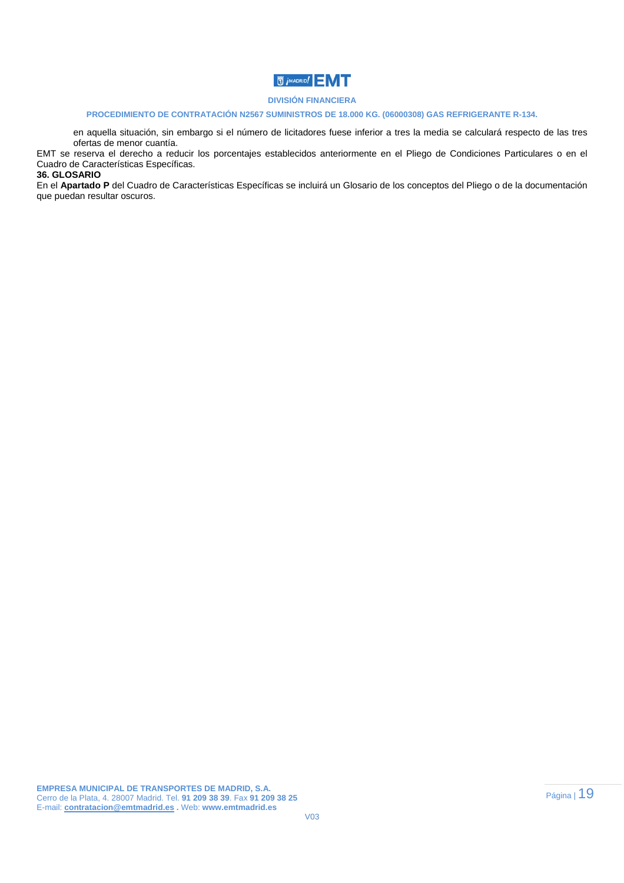# **J** *MADRID!*

### **DIVISIÓN FINANCIERA**

#### **PROCEDIMIENTO DE CONTRATACIÓN N2567 SUMINISTROS DE 18.000 KG. (06000308) GAS REFRIGERANTE R-134.**

en aquella situación, sin embargo si el número de licitadores fuese inferior a tres la media se calculará respecto de las tres ofertas de menor cuantía.

EMT se reserva el derecho a reducir los porcentajes establecidos anteriormente en el Pliego de Condiciones Particulares o en el Cuadro de Características Específicas.

## **36. GLOSARIO**

En el **Apartado P** del Cuadro de Características Específicas se incluirá un Glosario de los conceptos del Pliego o de la documentación que puedan resultar oscuros.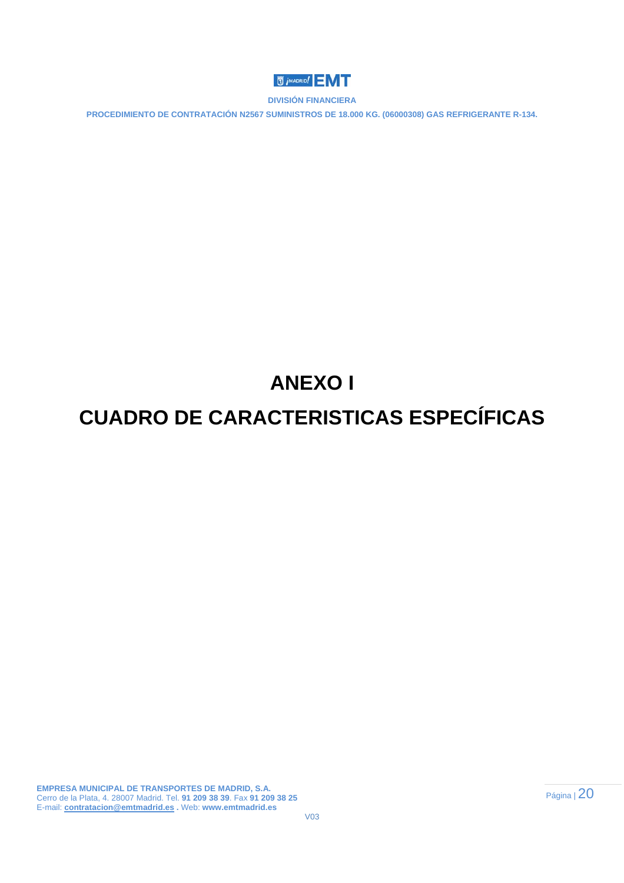

**PROCEDIMIENTO DE CONTRATACIÓN N2567 SUMINISTROS DE 18.000 KG. (06000308) GAS REFRIGERANTE R-134.** 

# **ANEXO I**

# **CUADRO DE CARACTERISTICAS ESPECÍFICAS**

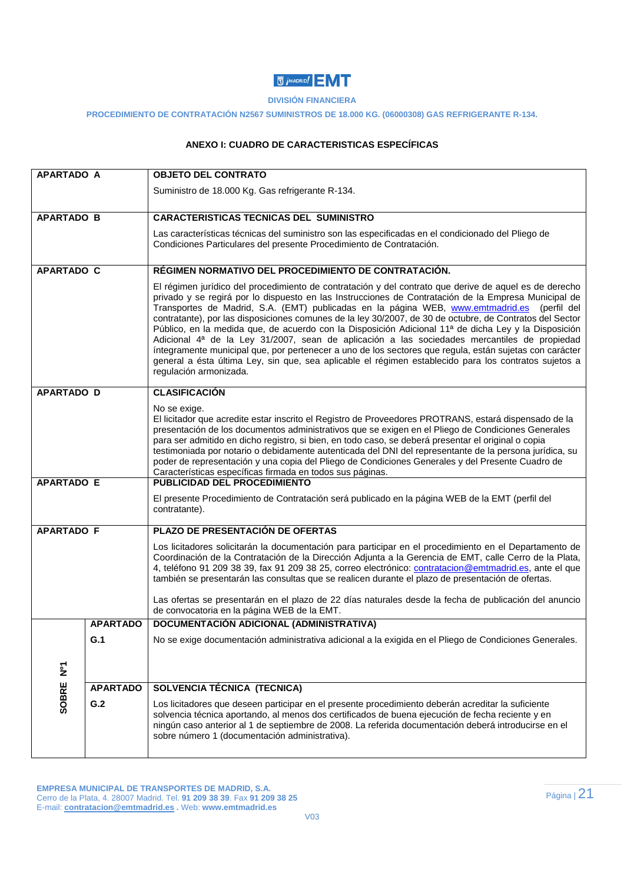# **U** *i* MADRID!

## **DIVISIÓN FINANCIERA**

### **PROCEDIMIENTO DE CONTRATACIÓN N2567 SUMINISTROS DE 18.000 KG. (06000308) GAS REFRIGERANTE R-134.**

# **ANEXO I: CUADRO DE CARACTERISTICAS ESPECÍFICAS**

| <b>APARTADO A</b> |                 | <b>OBJETO DEL CONTRATO</b>                                                                                                                                                                                                                                                                                                                                                                                                                                                                                                                                                                                                                                                                                                                                                                                                                                                                  |  |  |
|-------------------|-----------------|---------------------------------------------------------------------------------------------------------------------------------------------------------------------------------------------------------------------------------------------------------------------------------------------------------------------------------------------------------------------------------------------------------------------------------------------------------------------------------------------------------------------------------------------------------------------------------------------------------------------------------------------------------------------------------------------------------------------------------------------------------------------------------------------------------------------------------------------------------------------------------------------|--|--|
|                   |                 | Suministro de 18.000 Kg. Gas refrigerante R-134.                                                                                                                                                                                                                                                                                                                                                                                                                                                                                                                                                                                                                                                                                                                                                                                                                                            |  |  |
|                   |                 |                                                                                                                                                                                                                                                                                                                                                                                                                                                                                                                                                                                                                                                                                                                                                                                                                                                                                             |  |  |
| <b>APARTADO B</b> |                 | <b>CARACTERISTICAS TECNICAS DEL SUMINISTRO</b>                                                                                                                                                                                                                                                                                                                                                                                                                                                                                                                                                                                                                                                                                                                                                                                                                                              |  |  |
|                   |                 | Las características técnicas del suministro son las especificadas en el condicionado del Pliego de<br>Condiciones Particulares del presente Procedimiento de Contratación.                                                                                                                                                                                                                                                                                                                                                                                                                                                                                                                                                                                                                                                                                                                  |  |  |
| <b>APARTADO C</b> |                 | RÉGIMEN NORMATIVO DEL PROCEDIMIENTO DE CONTRATACIÓN.                                                                                                                                                                                                                                                                                                                                                                                                                                                                                                                                                                                                                                                                                                                                                                                                                                        |  |  |
|                   |                 | El régimen jurídico del procedimiento de contratación y del contrato que derive de aquel es de derecho<br>privado y se regirá por lo dispuesto en las Instrucciones de Contratación de la Empresa Municipal de<br>Transportes de Madrid, S.A. (EMT) publicadas en la página WEB, www.emtmadrid.es (perfil del<br>contratante), por las disposiciones comunes de la ley 30/2007, de 30 de octubre, de Contratos del Sector<br>Público, en la medida que, de acuerdo con la Disposición Adicional 11ª de dicha Ley y la Disposición<br>Adicional 4 <sup>ª</sup> de la Ley 31/2007, sean de aplicación a las sociedades mercantiles de propiedad<br>íntegramente municipal que, por pertenecer a uno de los sectores que regula, están sujetas con carácter<br>general a ésta última Ley, sin que, sea aplicable el régimen establecido para los contratos sujetos a<br>regulación armonizada. |  |  |
| <b>APARTADO D</b> |                 | <b>CLASIFICACIÓN</b>                                                                                                                                                                                                                                                                                                                                                                                                                                                                                                                                                                                                                                                                                                                                                                                                                                                                        |  |  |
|                   |                 | No se exige.<br>El licitador que acredite estar inscrito el Registro de Proveedores PROTRANS, estará dispensado de la<br>presentación de los documentos administrativos que se exigen en el Pliego de Condiciones Generales<br>para ser admitido en dicho registro, si bien, en todo caso, se deberá presentar el original o copia<br>testimoniada por notario o debidamente autenticada del DNI del representante de la persona jurídica, su<br>poder de representación y una copia del Pliego de Condiciones Generales y del Presente Cuadro de<br>Características específicas firmada en todos sus páginas.                                                                                                                                                                                                                                                                              |  |  |
| <b>APARTADO E</b> |                 | PUBLICIDAD DEL PROCEDIMIENTO                                                                                                                                                                                                                                                                                                                                                                                                                                                                                                                                                                                                                                                                                                                                                                                                                                                                |  |  |
|                   |                 | El presente Procedimiento de Contratación será publicado en la página WEB de la EMT (perfil del<br>contratante).                                                                                                                                                                                                                                                                                                                                                                                                                                                                                                                                                                                                                                                                                                                                                                            |  |  |
| <b>APARTADO F</b> |                 | PLAZO DE PRESENTACIÓN DE OFERTAS                                                                                                                                                                                                                                                                                                                                                                                                                                                                                                                                                                                                                                                                                                                                                                                                                                                            |  |  |
|                   |                 | Los licitadores solicitarán la documentación para participar en el procedimiento en el Departamento de<br>Coordinación de la Contratación de la Dirección Adjunta a la Gerencia de EMT, calle Cerro de la Plata,<br>4, teléfono 91 209 38 39, fax 91 209 38 25, correo electrónico: contratacion@emtmadrid.es, ante el que<br>también se presentarán las consultas que se realicen durante el plazo de presentación de ofertas.                                                                                                                                                                                                                                                                                                                                                                                                                                                             |  |  |
|                   |                 | Las ofertas se presentarán en el plazo de 22 días naturales desde la fecha de publicación del anuncio<br>de convocatoria en la página WEB de la EMT.                                                                                                                                                                                                                                                                                                                                                                                                                                                                                                                                                                                                                                                                                                                                        |  |  |
|                   | <b>APARTADO</b> | DOCUMENTACIÓN ADICIONAL (ADMINISTRATIVA)                                                                                                                                                                                                                                                                                                                                                                                                                                                                                                                                                                                                                                                                                                                                                                                                                                                    |  |  |
|                   | G.1             | No se exige documentación administrativa adicional a la exigida en el Pliego de Condiciones Generales.                                                                                                                                                                                                                                                                                                                                                                                                                                                                                                                                                                                                                                                                                                                                                                                      |  |  |
| $\sum_{i=1}^{n}$  |                 |                                                                                                                                                                                                                                                                                                                                                                                                                                                                                                                                                                                                                                                                                                                                                                                                                                                                                             |  |  |
|                   | <b>APARTADO</b> | <b>SOLVENCIA TÉCNICA (TECNICA)</b>                                                                                                                                                                                                                                                                                                                                                                                                                                                                                                                                                                                                                                                                                                                                                                                                                                                          |  |  |
| SOBRE             | G.2             | Los licitadores que deseen participar en el presente procedimiento deberán acreditar la suficiente<br>solvencia técnica aportando, al menos dos certificados de buena ejecución de fecha reciente y en<br>ningún caso anterior al 1 de septiembre de 2008. La referida documentación deberá introducirse en el<br>sobre número 1 (documentación administrativa).                                                                                                                                                                                                                                                                                                                                                                                                                                                                                                                            |  |  |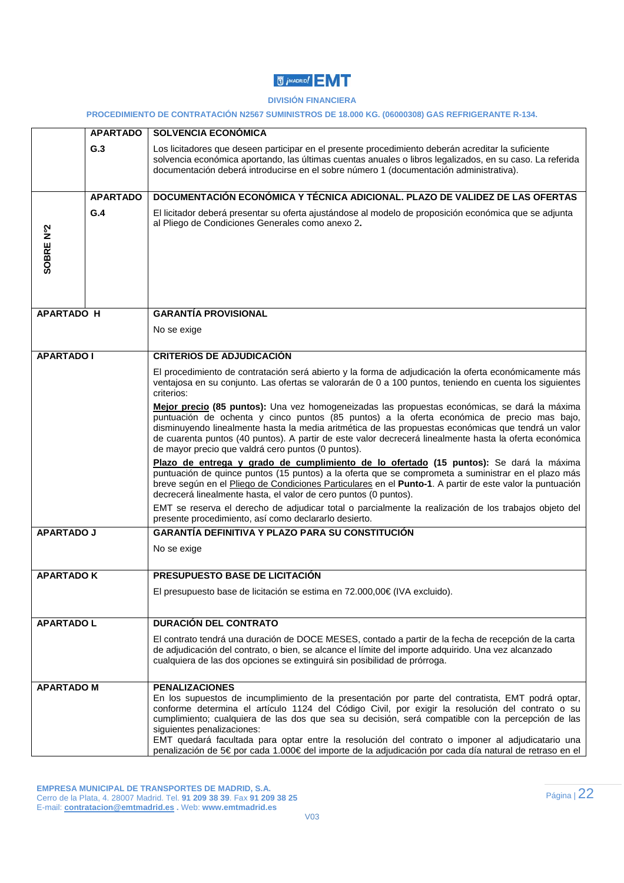# **U** *i* MADRID!

### **DIVISIÓN FINANCIERA**

**PROCEDIMIENTO DE CONTRATACIÓN N2567 SUMINISTROS DE 18.000 KG. (06000308) GAS REFRIGERANTE R-134.** 

|                   | <b>APARTADO</b> | <b>SOLVENCIA ECONÓMICA</b>                                                                                                                                                                                                                                                                                                                                                                                                                                                                                                                                                       |
|-------------------|-----------------|----------------------------------------------------------------------------------------------------------------------------------------------------------------------------------------------------------------------------------------------------------------------------------------------------------------------------------------------------------------------------------------------------------------------------------------------------------------------------------------------------------------------------------------------------------------------------------|
|                   | G.3             | Los licitadores que deseen participar en el presente procedimiento deberán acreditar la suficiente<br>solvencia económica aportando, las últimas cuentas anuales o libros legalizados, en su caso. La referida<br>documentación deberá introducirse en el sobre número 1 (documentación administrativa).                                                                                                                                                                                                                                                                         |
|                   | <b>APARTADO</b> | DOCUMENTACIÓN ECONÓMICA Y TÉCNICA ADICIONAL. PLAZO DE VALIDEZ DE LAS OFERTAS                                                                                                                                                                                                                                                                                                                                                                                                                                                                                                     |
| SOBRE Nº2         | G.4             | El licitador deberá presentar su oferta ajustándose al modelo de proposición económica que se adjunta<br>al Pliego de Condiciones Generales como anexo 2.                                                                                                                                                                                                                                                                                                                                                                                                                        |
| <b>APARTADO H</b> |                 | <b>GARANTÍA PROVISIONAL</b>                                                                                                                                                                                                                                                                                                                                                                                                                                                                                                                                                      |
|                   |                 | No se exige                                                                                                                                                                                                                                                                                                                                                                                                                                                                                                                                                                      |
|                   |                 |                                                                                                                                                                                                                                                                                                                                                                                                                                                                                                                                                                                  |
| <b>APARTADO I</b> |                 | <b>CRITERIOS DE ADJUDICACIÓN</b>                                                                                                                                                                                                                                                                                                                                                                                                                                                                                                                                                 |
|                   |                 | El procedimiento de contratación será abierto y la forma de adjudicación la oferta económicamente más<br>ventajosa en su conjunto. Las ofertas se valorarán de 0 a 100 puntos, teniendo en cuenta los siguientes<br>criterios:                                                                                                                                                                                                                                                                                                                                                   |
|                   |                 | Mejor precio (85 puntos): Una vez homogeneizadas las propuestas económicas, se dará la máxima<br>puntuación de ochenta y cinco puntos (85 puntos) a la oferta económica de precio mas bajo,<br>disminuyendo linealmente hasta la media aritmética de las propuestas económicas que tendrá un valor<br>de cuarenta puntos (40 puntos). A partir de este valor decrecerá linealmente hasta la oferta económica<br>de mayor precio que valdrá cero puntos (0 puntos).                                                                                                               |
|                   |                 | Plazo de entrega y grado de cumplimiento de lo ofertado (15 puntos): Se dará la máxima<br>puntuación de quince puntos (15 puntos) a la oferta que se comprometa a suministrar en el plazo más<br>breve según en el Pliego de Condiciones Particulares en el Punto-1. A partir de este valor la puntuación<br>decrecerá linealmente hasta, el valor de cero puntos (0 puntos).                                                                                                                                                                                                    |
|                   |                 | EMT se reserva el derecho de adjudicar total o parcialmente la realización de los trabajos objeto del<br>presente procedimiento, así como declararlo desierto.                                                                                                                                                                                                                                                                                                                                                                                                                   |
| <b>APARTADO J</b> |                 | <b>GARANTÍA DEFINITIVA Y PLAZO PARA SU CONSTITUCIÓN</b>                                                                                                                                                                                                                                                                                                                                                                                                                                                                                                                          |
|                   |                 | No se exige                                                                                                                                                                                                                                                                                                                                                                                                                                                                                                                                                                      |
| <b>APARTADO K</b> |                 | PRESUPUESTO BASE DE LICITACIÓN                                                                                                                                                                                                                                                                                                                                                                                                                                                                                                                                                   |
|                   |                 | El presupuesto base de licitación se estima en 72.000,00€ (IVA excluido).                                                                                                                                                                                                                                                                                                                                                                                                                                                                                                        |
| <b>APARTADO L</b> |                 | <b>DURACIÓN DEL CONTRATO</b>                                                                                                                                                                                                                                                                                                                                                                                                                                                                                                                                                     |
|                   |                 | El contrato tendrá una duración de DOCE MESES, contado a partir de la fecha de recepción de la carta<br>de adjudicación del contrato, o bien, se alcance el límite del importe adquirido. Una vez alcanzado<br>cualquiera de las dos opciones se extinguirá sin posibilidad de prórroga.                                                                                                                                                                                                                                                                                         |
| <b>APARTADO M</b> |                 | <b>PENALIZACIONES</b><br>En los supuestos de incumplimiento de la presentación por parte del contratista, EMT podrá optar,<br>conforme determina el artículo 1124 del Código Civil, por exigir la resolución del contrato o su<br>cumplimiento; cualquiera de las dos que sea su decisión, será compatible con la percepción de las<br>siguientes penalizaciones:<br>EMT quedará facultada para optar entre la resolución del contrato o imponer al adjudicatario una<br>penalización de 5€ por cada 1.000€ del importe de la adjudicación por cada día natural de retraso en el |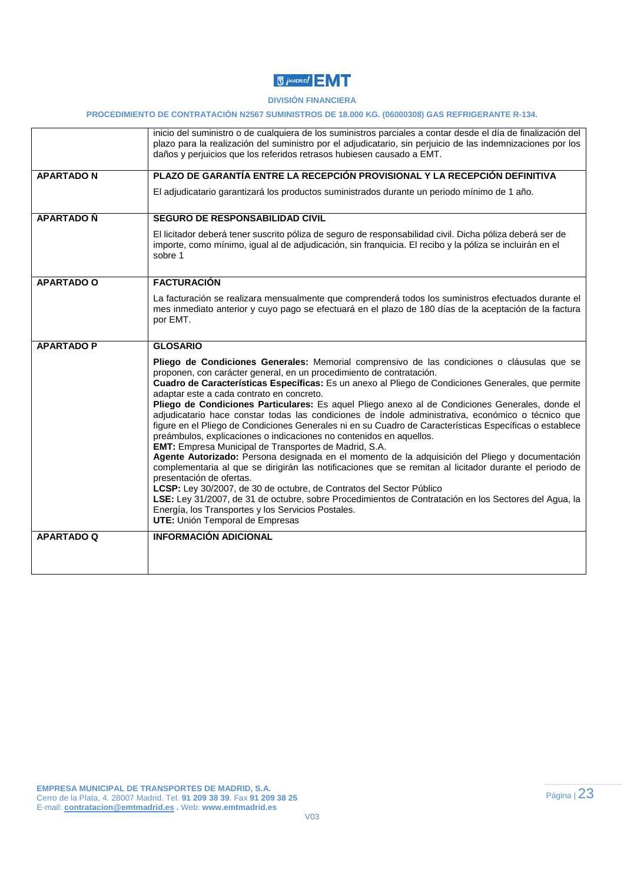

### **PROCEDIMIENTO DE CONTRATACIÓN N2567 SUMINISTROS DE 18.000 KG. (06000308) GAS REFRIGERANTE R-134.**

|                   | inicio del suministro o de cualquiera de los suministros parciales a contar desde el día de finalización del<br>plazo para la realización del suministro por el adjudicatario, sin perjuicio de las indemnizaciones por los<br>daños y perjuicios que los referidos retrasos hubiesen causado a EMT.                                                                                                                                                                                                                                                                                                                                                                                                                                                                                                                                                                                                                                                                                                                                                                                                                                                                                                                                                                                           |  |
|-------------------|------------------------------------------------------------------------------------------------------------------------------------------------------------------------------------------------------------------------------------------------------------------------------------------------------------------------------------------------------------------------------------------------------------------------------------------------------------------------------------------------------------------------------------------------------------------------------------------------------------------------------------------------------------------------------------------------------------------------------------------------------------------------------------------------------------------------------------------------------------------------------------------------------------------------------------------------------------------------------------------------------------------------------------------------------------------------------------------------------------------------------------------------------------------------------------------------------------------------------------------------------------------------------------------------|--|
| <b>APARTADON</b>  | PLAZO DE GARANTÍA ENTRE LA RECEPCIÓN PROVISIONAL Y LA RECEPCIÓN DEFINITIVA                                                                                                                                                                                                                                                                                                                                                                                                                                                                                                                                                                                                                                                                                                                                                                                                                                                                                                                                                                                                                                                                                                                                                                                                                     |  |
|                   | El adjudicatario garantizará los productos suministrados durante un periodo mínimo de 1 año.                                                                                                                                                                                                                                                                                                                                                                                                                                                                                                                                                                                                                                                                                                                                                                                                                                                                                                                                                                                                                                                                                                                                                                                                   |  |
| <b>APARTADO Ñ</b> | SEGURO DE RESPONSABILIDAD CIVIL                                                                                                                                                                                                                                                                                                                                                                                                                                                                                                                                                                                                                                                                                                                                                                                                                                                                                                                                                                                                                                                                                                                                                                                                                                                                |  |
|                   | El licitador deberá tener suscrito póliza de seguro de responsabilidad civil. Dicha póliza deberá ser de<br>importe, como mínimo, igual al de adjudicación, sin franquicia. El recibo y la póliza se incluirán en el<br>sobre 1                                                                                                                                                                                                                                                                                                                                                                                                                                                                                                                                                                                                                                                                                                                                                                                                                                                                                                                                                                                                                                                                |  |
| <b>APARTADO O</b> | <b>FACTURACIÓN</b>                                                                                                                                                                                                                                                                                                                                                                                                                                                                                                                                                                                                                                                                                                                                                                                                                                                                                                                                                                                                                                                                                                                                                                                                                                                                             |  |
|                   | La facturación se realizara mensualmente que comprenderá todos los suministros efectuados durante el<br>mes inmediato anterior y cuyo pago se efectuará en el plazo de 180 días de la aceptación de la factura<br>por EMT.                                                                                                                                                                                                                                                                                                                                                                                                                                                                                                                                                                                                                                                                                                                                                                                                                                                                                                                                                                                                                                                                     |  |
| <b>APARTADO P</b> | <b>GLOSARIO</b>                                                                                                                                                                                                                                                                                                                                                                                                                                                                                                                                                                                                                                                                                                                                                                                                                                                                                                                                                                                                                                                                                                                                                                                                                                                                                |  |
|                   | Pliego de Condiciones Generales: Memorial comprensivo de las condiciones o cláusulas que se<br>proponen, con carácter general, en un procedimiento de contratación.<br>Cuadro de Características Específicas: Es un anexo al Pliego de Condiciones Generales, que permite<br>adaptar este a cada contrato en concreto.<br>Pliego de Condiciones Particulares: Es aquel Pliego anexo al de Condiciones Generales, donde el<br>adjudicatario hace constar todas las condiciones de índole administrativa, económico o técnico que<br>figure en el Pliego de Condiciones Generales ni en su Cuadro de Características Específicas o establece<br>preámbulos, explicaciones o indicaciones no contenidos en aquellos.<br>EMT: Empresa Municipal de Transportes de Madrid, S.A.<br>Agente Autorizado: Persona designada en el momento de la adquisición del Pliego y documentación<br>complementaria al que se dirigirán las notificaciones que se remitan al licitador durante el periodo de<br>presentación de ofertas.<br>LCSP: Ley 30/2007, de 30 de octubre, de Contratos del Sector Público<br>LSE: Ley 31/2007, de 31 de octubre, sobre Procedimientos de Contratación en los Sectores del Agua, la<br>Energía, los Transportes y los Servicios Postales.<br>UTE: Unión Temporal de Empresas |  |
| <b>APARTADO Q</b> | <b>INFORMACIÓN ADICIONAL</b>                                                                                                                                                                                                                                                                                                                                                                                                                                                                                                                                                                                                                                                                                                                                                                                                                                                                                                                                                                                                                                                                                                                                                                                                                                                                   |  |
|                   |                                                                                                                                                                                                                                                                                                                                                                                                                                                                                                                                                                                                                                                                                                                                                                                                                                                                                                                                                                                                                                                                                                                                                                                                                                                                                                |  |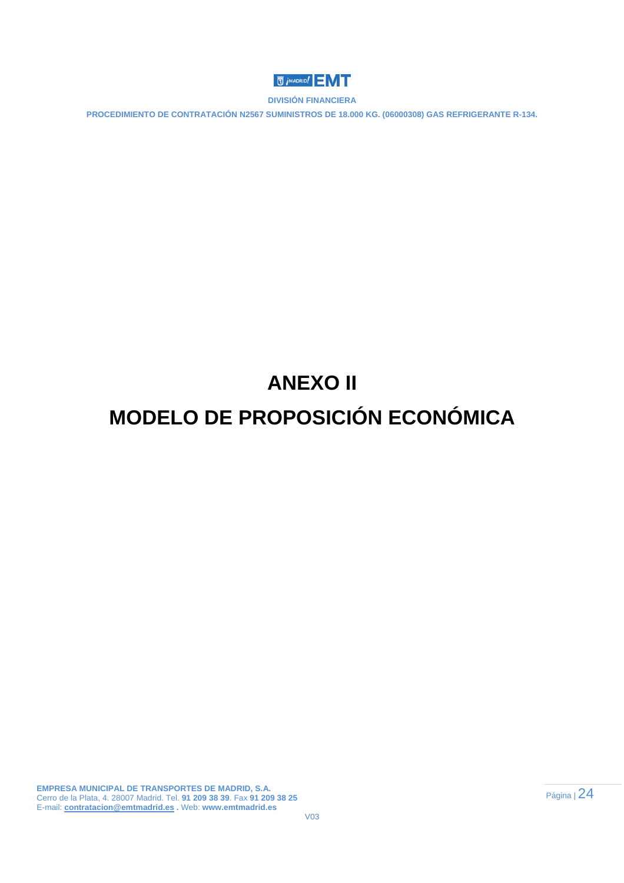

**PROCEDIMIENTO DE CONTRATACIÓN N2567 SUMINISTROS DE 18.000 KG. (06000308) GAS REFRIGERANTE R-134.** 

# **ANEXO II**

# **MODELO DE PROPOSICIÓN ECONÓMICA**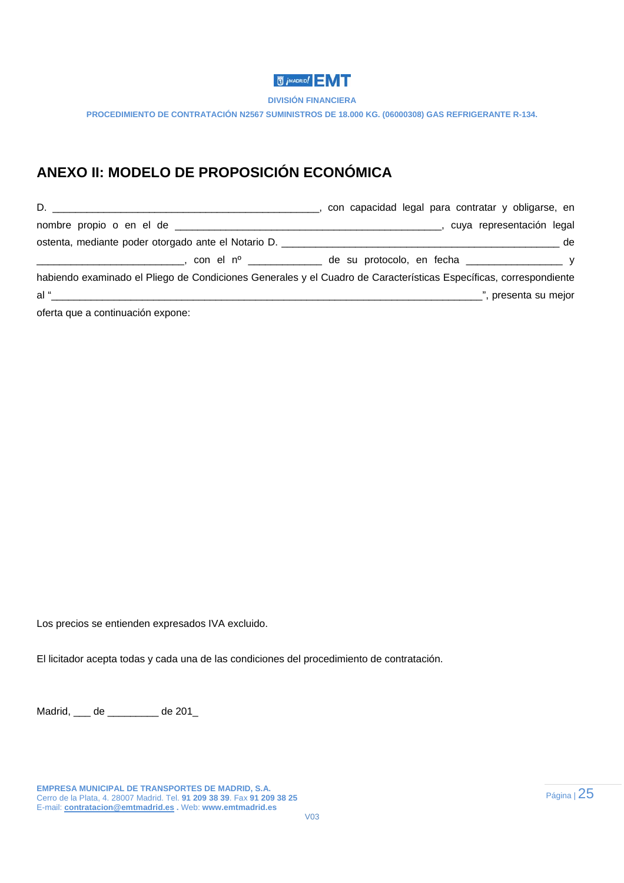# **WADRID!**

**DIVISIÓN FINANCIERA** 

**PROCEDIMIENTO DE CONTRATACIÓN N2567 SUMINISTROS DE 18.000 KG. (06000308) GAS REFRIGERANTE R-134.** 

# **ANEXO II: MODELO DE PROPOSICIÓN ECONÓMICA**

| D.                                                                                                                                                                                                                             | con capacidad legal para contratar y obligarse, en                                                                |
|--------------------------------------------------------------------------------------------------------------------------------------------------------------------------------------------------------------------------------|-------------------------------------------------------------------------------------------------------------------|
|                                                                                                                                                                                                                                | , cuya representación legal                                                                                       |
|                                                                                                                                                                                                                                | de                                                                                                                |
|                                                                                                                                                                                                                                |                                                                                                                   |
|                                                                                                                                                                                                                                | habiendo examinado el Pliego de Condiciones Generales y el Cuadro de Características Específicas, correspondiente |
| al "international controllering and "international controllering" and "international controllering" and "international" and "international" and "international" and "international" and "international" and "international" an | ", presenta su mejor                                                                                              |
| oferta que a continuación expone:                                                                                                                                                                                              |                                                                                                                   |

Los precios se entienden expresados IVA excluido.

El licitador acepta todas y cada una de las condiciones del procedimiento de contratación.

Madrid, \_\_\_ de \_\_\_\_\_\_\_\_\_ de 201\_

**EMPRESA MUNICIPAL DE TRANSPORTES DE MADRID, S.A.**  Cerro de la Plata, 4. 28007 Madrid. Tel. **91 209 38 39**. Fax **91 209 38 25**  E-mail: **contratacion@emtmadrid.es .** Web: **www.emtmadrid.es**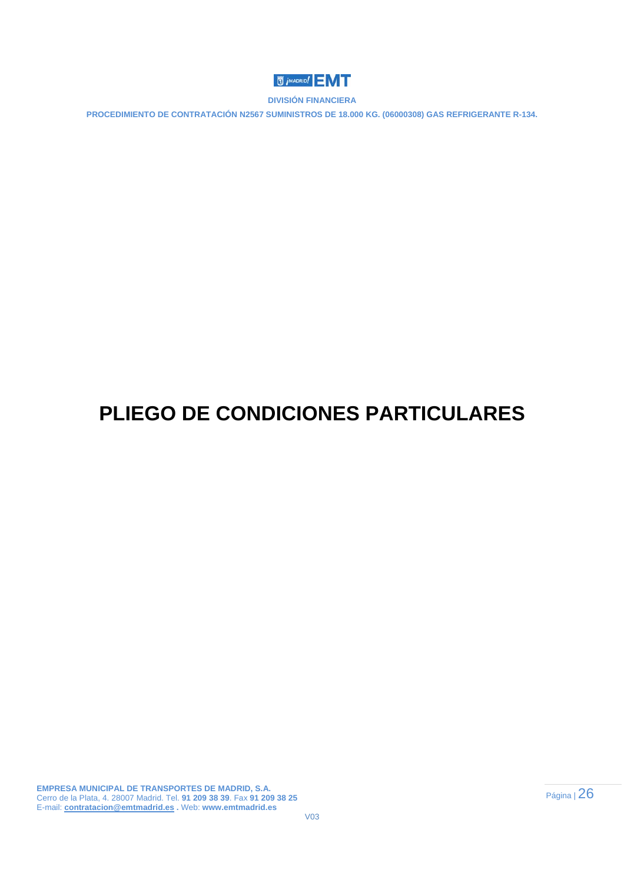

**PROCEDIMIENTO DE CONTRATACIÓN N2567 SUMINISTROS DE 18.000 KG. (06000308) GAS REFRIGERANTE R-134.** 

# **PLIEGO DE CONDICIONES PARTICULARES**